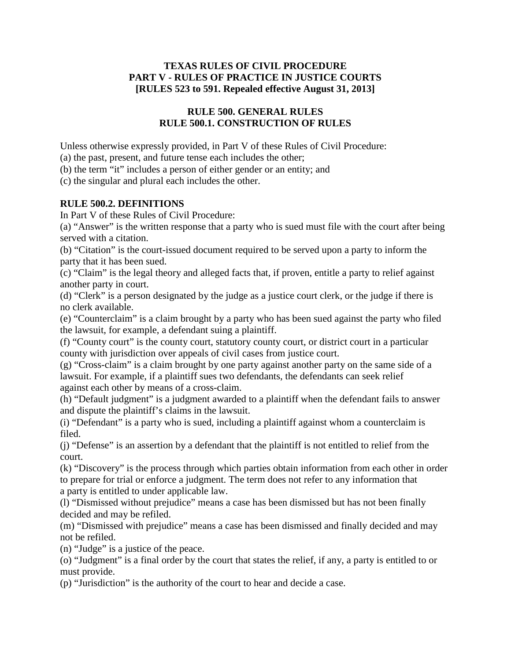#### **TEXAS RULES OF CIVIL PROCEDURE PART V - RULES OF PRACTICE IN JUSTICE COURTS [RULES 523 to 591. Repealed effective August 31, 2013]**

#### **RULE 500. GENERAL RULES RULE 500.1. CONSTRUCTION OF RULES**

Unless otherwise expressly provided, in Part V of these Rules of Civil Procedure:

(a) the past, present, and future tense each includes the other;

(b) the term "it" includes a person of either gender or an entity; and

(c) the singular and plural each includes the other.

## **RULE 500.2. DEFINITIONS**

In Part V of these Rules of Civil Procedure:

(a) "Answer" is the written response that a party who is sued must file with the court after being served with a citation.

(b) "Citation" is the court-issued document required to be served upon a party to inform the party that it has been sued.

(c) "Claim" is the legal theory and alleged facts that, if proven, entitle a party to relief against another party in court.

(d) "Clerk" is a person designated by the judge as a justice court clerk, or the judge if there is no clerk available.

(e) "Counterclaim" is a claim brought by a party who has been sued against the party who filed the lawsuit, for example, a defendant suing a plaintiff.

(f) "County court" is the county court, statutory county court, or district court in a particular county with jurisdiction over appeals of civil cases from justice court.

(g) "Cross-claim" is a claim brought by one party against another party on the same side of a lawsuit. For example, if a plaintiff sues two defendants, the defendants can seek relief against each other by means of a cross-claim.

(h) "Default judgment" is a judgment awarded to a plaintiff when the defendant fails to answer and dispute the plaintiff's claims in the lawsuit.

(i) "Defendant" is a party who is sued, including a plaintiff against whom a counterclaim is filed.

(j) "Defense" is an assertion by a defendant that the plaintiff is not entitled to relief from the court.

(k) "Discovery" is the process through which parties obtain information from each other in order to prepare for trial or enforce a judgment. The term does not refer to any information that a party is entitled to under applicable law.

(l) "Dismissed without prejudice" means a case has been dismissed but has not been finally decided and may be refiled.

(m) "Dismissed with prejudice" means a case has been dismissed and finally decided and may not be refiled.

(n) "Judge" is a justice of the peace.

(o) "Judgment" is a final order by the court that states the relief, if any, a party is entitled to or must provide.

(p) "Jurisdiction" is the authority of the court to hear and decide a case.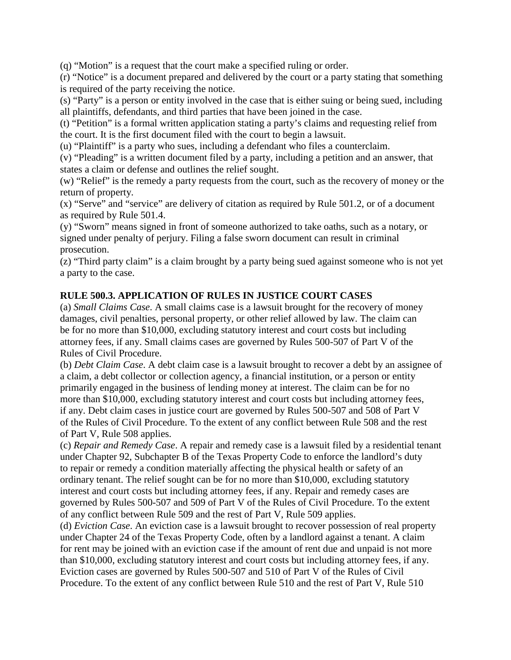(q) "Motion" is a request that the court make a specified ruling or order.

(r) "Notice" is a document prepared and delivered by the court or a party stating that something is required of the party receiving the notice.

(s) "Party" is a person or entity involved in the case that is either suing or being sued, including all plaintiffs, defendants, and third parties that have been joined in the case.

(t) "Petition" is a formal written application stating a party's claims and requesting relief from the court. It is the first document filed with the court to begin a lawsuit.

(u) "Plaintiff" is a party who sues, including a defendant who files a counterclaim.

(v) "Pleading" is a written document filed by a party, including a petition and an answer, that states a claim or defense and outlines the relief sought.

(w) "Relief" is the remedy a party requests from the court, such as the recovery of money or the return of property.

(x) "Serve" and "service" are delivery of citation as required by Rule 501.2, or of a document as required by Rule 501.4.

(y) "Sworn" means signed in front of someone authorized to take oaths, such as a notary, or signed under penalty of perjury. Filing a false sworn document can result in criminal prosecution.

(z) "Third party claim" is a claim brought by a party being sued against someone who is not yet a party to the case.

### **RULE 500.3. APPLICATION OF RULES IN JUSTICE COURT CASES**

(a) *Small Claims Case*. A small claims case is a lawsuit brought for the recovery of money damages, civil penalties, personal property, or other relief allowed by law. The claim can be for no more than \$10,000, excluding statutory interest and court costs but including attorney fees, if any. Small claims cases are governed by Rules 500-507 of Part V of the Rules of Civil Procedure.

(b) *Debt Claim Case*. A debt claim case is a lawsuit brought to recover a debt by an assignee of a claim, a debt collector or collection agency, a financial institution, or a person or entity primarily engaged in the business of lending money at interest. The claim can be for no more than \$10,000, excluding statutory interest and court costs but including attorney fees, if any. Debt claim cases in justice court are governed by Rules 500-507 and 508 of Part V of the Rules of Civil Procedure. To the extent of any conflict between Rule 508 and the rest of Part V, Rule 508 applies.

(c) *Repair and Remedy Case*. A repair and remedy case is a lawsuit filed by a residential tenant under Chapter 92, Subchapter B of the Texas Property Code to enforce the landlord's duty to repair or remedy a condition materially affecting the physical health or safety of an ordinary tenant. The relief sought can be for no more than \$10,000, excluding statutory interest and court costs but including attorney fees, if any. Repair and remedy cases are governed by Rules 500-507 and 509 of Part V of the Rules of Civil Procedure. To the extent of any conflict between Rule 509 and the rest of Part V, Rule 509 applies.

(d) *Eviction Case*. An eviction case is a lawsuit brought to recover possession of real property under Chapter 24 of the Texas Property Code, often by a landlord against a tenant. A claim for rent may be joined with an eviction case if the amount of rent due and unpaid is not more than \$10,000, excluding statutory interest and court costs but including attorney fees, if any. Eviction cases are governed by Rules 500-507 and 510 of Part V of the Rules of Civil Procedure. To the extent of any conflict between Rule 510 and the rest of Part V, Rule 510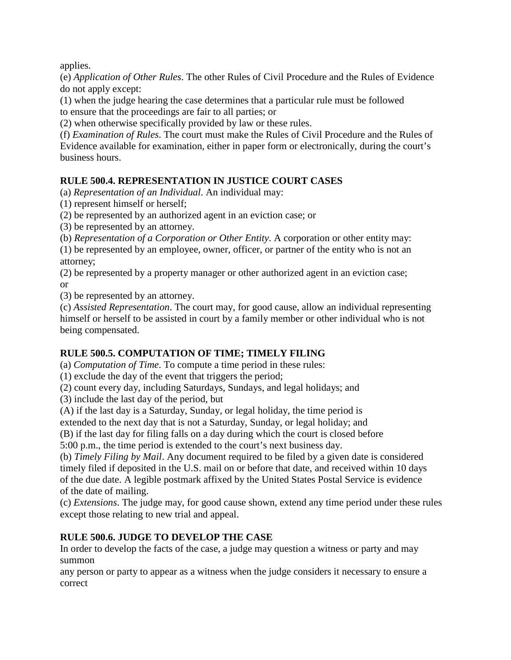applies.

(e) *Application of Other Rules*. The other Rules of Civil Procedure and the Rules of Evidence do not apply except:

(1) when the judge hearing the case determines that a particular rule must be followed to ensure that the proceedings are fair to all parties; or

(2) when otherwise specifically provided by law or these rules.

(f) *Examination of Rules*. The court must make the Rules of Civil Procedure and the Rules of Evidence available for examination, either in paper form or electronically, during the court's business hours.

## **RULE 500.4. REPRESENTATION IN JUSTICE COURT CASES**

(a) *Representation of an Individual*. An individual may:

(1) represent himself or herself;

(2) be represented by an authorized agent in an eviction case; or

(3) be represented by an attorney.

(b) *Representation of a Corporation or Other Entity*. A corporation or other entity may:

(1) be represented by an employee, owner, officer, or partner of the entity who is not an attorney;

(2) be represented by a property manager or other authorized agent in an eviction case; or

(3) be represented by an attorney.

(c) *Assisted Representation*. The court may, for good cause, allow an individual representing himself or herself to be assisted in court by a family member or other individual who is not being compensated.

# **RULE 500.5. COMPUTATION OF TIME; TIMELY FILING**

(a) *Computation of Time*. To compute a time period in these rules:

(1) exclude the day of the event that triggers the period;

(2) count every day, including Saturdays, Sundays, and legal holidays; and

(3) include the last day of the period, but

(A) if the last day is a Saturday, Sunday, or legal holiday, the time period is

extended to the next day that is not a Saturday, Sunday, or legal holiday; and

(B) if the last day for filing falls on a day during which the court is closed before

5:00 p.m., the time period is extended to the court's next business day.

(b) *Timely Filing by Mail*. Any document required to be filed by a given date is considered timely filed if deposited in the U.S. mail on or before that date, and received within 10 days of the due date. A legible postmark affixed by the United States Postal Service is evidence of the date of mailing.

(c) *Extensions*. The judge may, for good cause shown, extend any time period under these rules except those relating to new trial and appeal.

# **RULE 500.6. JUDGE TO DEVELOP THE CASE**

In order to develop the facts of the case, a judge may question a witness or party and may summon

any person or party to appear as a witness when the judge considers it necessary to ensure a correct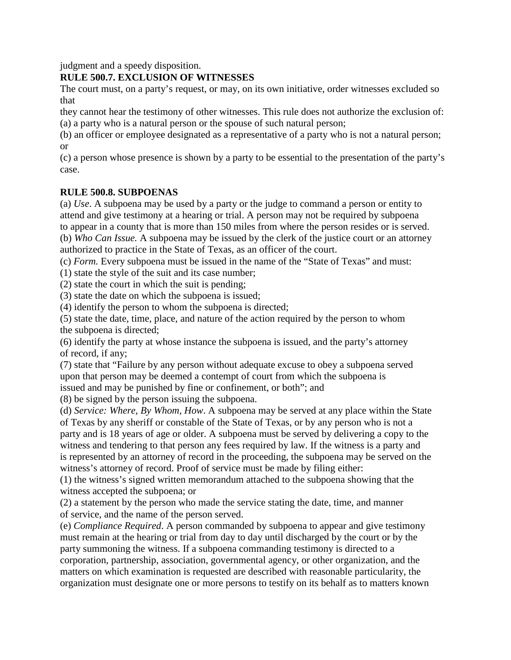judgment and a speedy disposition.

#### **RULE 500.7. EXCLUSION OF WITNESSES**

The court must, on a party's request, or may, on its own initiative, order witnesses excluded so that

they cannot hear the testimony of other witnesses. This rule does not authorize the exclusion of: (a) a party who is a natural person or the spouse of such natural person;

(b) an officer or employee designated as a representative of a party who is not a natural person; or

(c) a person whose presence is shown by a party to be essential to the presentation of the party's case.

#### **RULE 500.8. SUBPOENAS**

(a) *Use*. A subpoena may be used by a party or the judge to command a person or entity to attend and give testimony at a hearing or trial. A person may not be required by subpoena to appear in a county that is more than 150 miles from where the person resides or is served. (b) *Who Can Issue.* A subpoena may be issued by the clerk of the justice court or an attorney

authorized to practice in the State of Texas, as an officer of the court.

(c) *Form.* Every subpoena must be issued in the name of the "State of Texas" and must:

(1) state the style of the suit and its case number;

(2) state the court in which the suit is pending;

(3) state the date on which the subpoena is issued;

(4) identify the person to whom the subpoena is directed;

(5) state the date, time, place, and nature of the action required by the person to whom the subpoena is directed;

(6) identify the party at whose instance the subpoena is issued, and the party's attorney of record, if any;

(7) state that "Failure by any person without adequate excuse to obey a subpoena served upon that person may be deemed a contempt of court from which the subpoena is issued and may be punished by fine or confinement, or both"; and

(8) be signed by the person issuing the subpoena.

(d) *Service: Where, By Whom, How*. A subpoena may be served at any place within the State of Texas by any sheriff or constable of the State of Texas, or by any person who is not a party and is 18 years of age or older. A subpoena must be served by delivering a copy to the witness and tendering to that person any fees required by law. If the witness is a party and is represented by an attorney of record in the proceeding, the subpoena may be served on the witness's attorney of record. Proof of service must be made by filing either:

(1) the witness's signed written memorandum attached to the subpoena showing that the witness accepted the subpoena; or

(2) a statement by the person who made the service stating the date, time, and manner of service, and the name of the person served.

(e) *Compliance Required*. A person commanded by subpoena to appear and give testimony must remain at the hearing or trial from day to day until discharged by the court or by the party summoning the witness. If a subpoena commanding testimony is directed to a corporation, partnership, association, governmental agency, or other organization, and the matters on which examination is requested are described with reasonable particularity, the organization must designate one or more persons to testify on its behalf as to matters known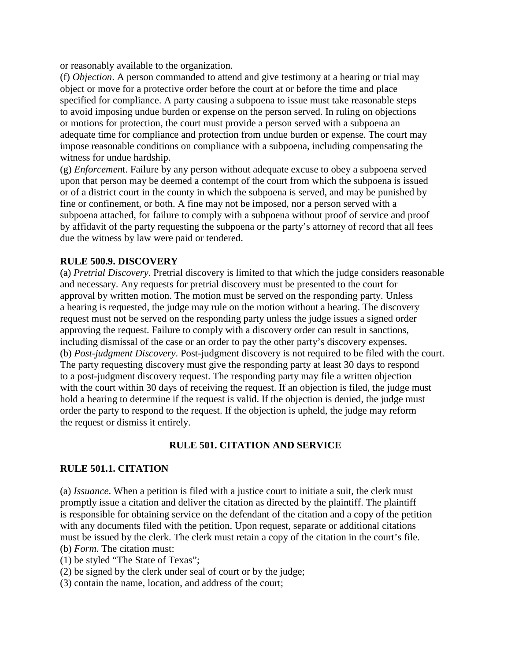or reasonably available to the organization.

(f) *Objection*. A person commanded to attend and give testimony at a hearing or trial may object or move for a protective order before the court at or before the time and place specified for compliance. A party causing a subpoena to issue must take reasonable steps to avoid imposing undue burden or expense on the person served. In ruling on objections or motions for protection, the court must provide a person served with a subpoena an adequate time for compliance and protection from undue burden or expense. The court may impose reasonable conditions on compliance with a subpoena, including compensating the witness for undue hardship.

(g) *Enforcemen*t. Failure by any person without adequate excuse to obey a subpoena served upon that person may be deemed a contempt of the court from which the subpoena is issued or of a district court in the county in which the subpoena is served, and may be punished by fine or confinement, or both. A fine may not be imposed, nor a person served with a subpoena attached, for failure to comply with a subpoena without proof of service and proof by affidavit of the party requesting the subpoena or the party's attorney of record that all fees due the witness by law were paid or tendered.

#### **RULE 500.9. DISCOVERY**

(a) *Pretrial Discovery*. Pretrial discovery is limited to that which the judge considers reasonable and necessary. Any requests for pretrial discovery must be presented to the court for approval by written motion. The motion must be served on the responding party. Unless a hearing is requested, the judge may rule on the motion without a hearing. The discovery request must not be served on the responding party unless the judge issues a signed order approving the request. Failure to comply with a discovery order can result in sanctions, including dismissal of the case or an order to pay the other party's discovery expenses. (b) *Post-judgment Discovery*. Post-judgment discovery is not required to be filed with the court. The party requesting discovery must give the responding party at least 30 days to respond to a post-judgment discovery request. The responding party may file a written objection with the court within 30 days of receiving the request. If an objection is filed, the judge must hold a hearing to determine if the request is valid. If the objection is denied, the judge must order the party to respond to the request. If the objection is upheld, the judge may reform the request or dismiss it entirely.

#### **RULE 501. CITATION AND SERVICE**

#### **RULE 501.1. CITATION**

(a) *Issuance*. When a petition is filed with a justice court to initiate a suit, the clerk must promptly issue a citation and deliver the citation as directed by the plaintiff. The plaintiff is responsible for obtaining service on the defendant of the citation and a copy of the petition with any documents filed with the petition. Upon request, separate or additional citations must be issued by the clerk. The clerk must retain a copy of the citation in the court's file. (b) *Form*. The citation must:

(1) be styled "The State of Texas";

- (2) be signed by the clerk under seal of court or by the judge;
- (3) contain the name, location, and address of the court;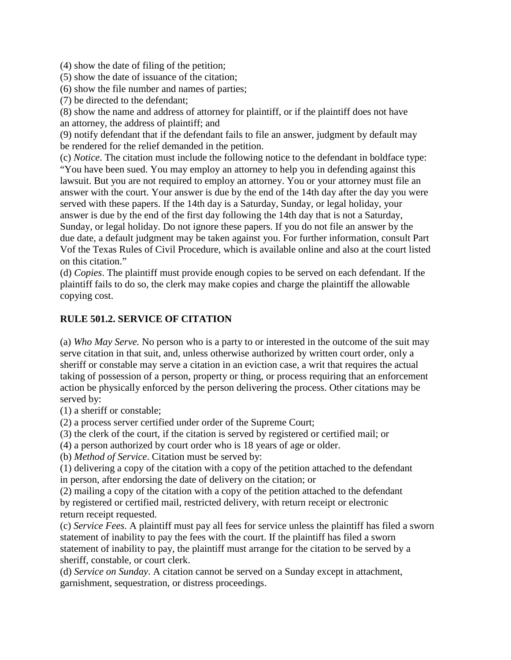(4) show the date of filing of the petition;

(5) show the date of issuance of the citation;

(6) show the file number and names of parties;

(7) be directed to the defendant;

(8) show the name and address of attorney for plaintiff, or if the plaintiff does not have an attorney, the address of plaintiff; and

(9) notify defendant that if the defendant fails to file an answer, judgment by default may be rendered for the relief demanded in the petition.

(c) *Notice*. The citation must include the following notice to the defendant in boldface type: "You have been sued. You may employ an attorney to help you in defending against this lawsuit. But you are not required to employ an attorney. You or your attorney must file an answer with the court. Your answer is due by the end of the 14th day after the day you were served with these papers. If the 14th day is a Saturday, Sunday, or legal holiday, your answer is due by the end of the first day following the 14th day that is not a Saturday, Sunday, or legal holiday. Do not ignore these papers. If you do not file an answer by the due date, a default judgment may be taken against you. For further information, consult Part Vof the Texas Rules of Civil Procedure, which is available online and also at the court listed on this citation."

(d) *Copies*. The plaintiff must provide enough copies to be served on each defendant. If the plaintiff fails to do so, the clerk may make copies and charge the plaintiff the allowable copying cost.

### **RULE 501.2. SERVICE OF CITATION**

(a) *Who May Serve.* No person who is a party to or interested in the outcome of the suit may serve citation in that suit, and, unless otherwise authorized by written court order, only a sheriff or constable may serve a citation in an eviction case, a writ that requires the actual taking of possession of a person, property or thing, or process requiring that an enforcement action be physically enforced by the person delivering the process. Other citations may be served by:

(1) a sheriff or constable;

(2) a process server certified under order of the Supreme Court;

(3) the clerk of the court, if the citation is served by registered or certified mail; or

(4) a person authorized by court order who is 18 years of age or older.

(b) *Method of Service*. Citation must be served by:

(1) delivering a copy of the citation with a copy of the petition attached to the defendant in person, after endorsing the date of delivery on the citation; or

(2) mailing a copy of the citation with a copy of the petition attached to the defendant by registered or certified mail, restricted delivery, with return receipt or electronic return receipt requested.

(c) *Service Fees*. A plaintiff must pay all fees for service unless the plaintiff has filed a sworn statement of inability to pay the fees with the court. If the plaintiff has filed a sworn statement of inability to pay, the plaintiff must arrange for the citation to be served by a sheriff, constable, or court clerk.

(d) *Service on Sunday*. A citation cannot be served on a Sunday except in attachment, garnishment, sequestration, or distress proceedings.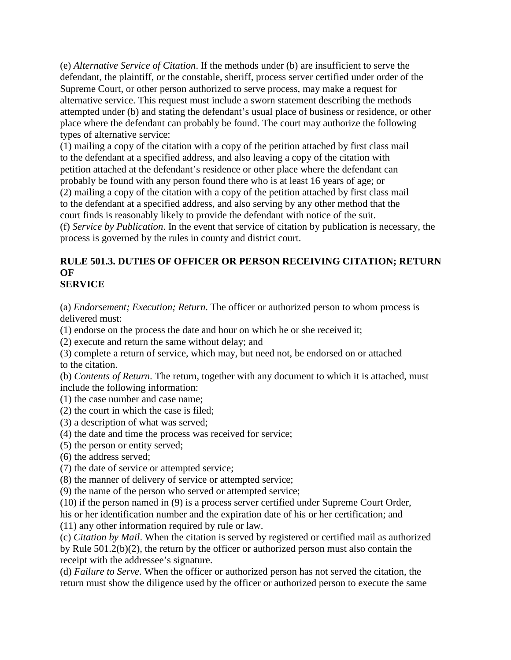(e) *Alternative Service of Citation*. If the methods under (b) are insufficient to serve the defendant, the plaintiff, or the constable, sheriff, process server certified under order of the Supreme Court, or other person authorized to serve process, may make a request for alternative service. This request must include a sworn statement describing the methods attempted under (b) and stating the defendant's usual place of business or residence, or other place where the defendant can probably be found. The court may authorize the following types of alternative service:

(1) mailing a copy of the citation with a copy of the petition attached by first class mail to the defendant at a specified address, and also leaving a copy of the citation with petition attached at the defendant's residence or other place where the defendant can probably be found with any person found there who is at least 16 years of age; or

(2) mailing a copy of the citation with a copy of the petition attached by first class mail to the defendant at a specified address, and also serving by any other method that the court finds is reasonably likely to provide the defendant with notice of the suit.

(f) *Service by Publication*. In the event that service of citation by publication is necessary, the process is governed by the rules in county and district court.

#### **RULE 501.3. DUTIES OF OFFICER OR PERSON RECEIVING CITATION; RETURN OF SERVICE**

(a) *Endorsement; Execution; Return*. The officer or authorized person to whom process is delivered must:

- (1) endorse on the process the date and hour on which he or she received it;
- (2) execute and return the same without delay; and
- (3) complete a return of service, which may, but need not, be endorsed on or attached to the citation.

(b) *Contents of Return*. The return, together with any document to which it is attached, must include the following information:

- (1) the case number and case name;
- (2) the court in which the case is filed;
- (3) a description of what was served;
- (4) the date and time the process was received for service;
- (5) the person or entity served;
- (6) the address served;
- (7) the date of service or attempted service;
- (8) the manner of delivery of service or attempted service;

(9) the name of the person who served or attempted service;

(10) if the person named in (9) is a process server certified under Supreme Court Order, his or her identification number and the expiration date of his or her certification; and

(11) any other information required by rule or law.

(c) *Citation by Mail*. When the citation is served by registered or certified mail as authorized by Rule 501.2(b)(2), the return by the officer or authorized person must also contain the receipt with the addressee's signature.

(d) *Failure to Serve*. When the officer or authorized person has not served the citation, the return must show the diligence used by the officer or authorized person to execute the same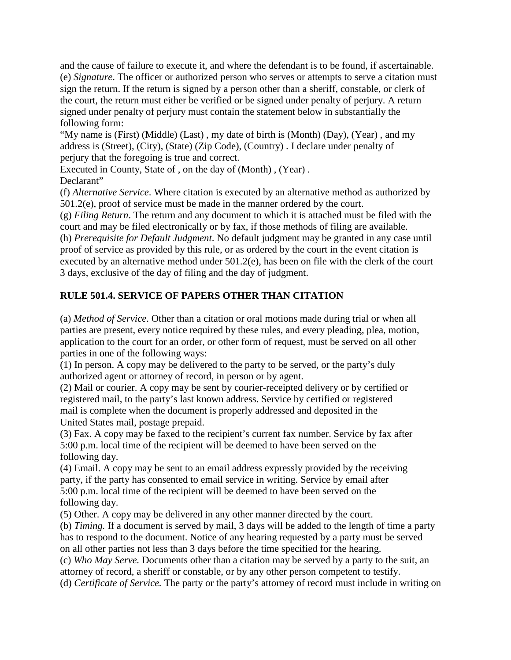and the cause of failure to execute it, and where the defendant is to be found, if ascertainable. (e) *Signature*. The officer or authorized person who serves or attempts to serve a citation must sign the return. If the return is signed by a person other than a sheriff, constable, or clerk of the court, the return must either be verified or be signed under penalty of perjury. A return signed under penalty of perjury must contain the statement below in substantially the following form:

"My name is (First) (Middle) (Last) , my date of birth is (Month) (Day), (Year) , and my address is (Street), (City), (State) (Zip Code), (Country) . I declare under penalty of perjury that the foregoing is true and correct.

Executed in County, State of , on the day of (Month) , (Year) . Declarant"

(f) *Alternative Service*. Where citation is executed by an alternative method as authorized by 501.2(e), proof of service must be made in the manner ordered by the court.

(g) *Filing Return*. The return and any document to which it is attached must be filed with the court and may be filed electronically or by fax, if those methods of filing are available.

(h) *Prerequisite for Default Judgment*. No default judgment may be granted in any case until proof of service as provided by this rule, or as ordered by the court in the event citation is executed by an alternative method under 501.2(e), has been on file with the clerk of the court 3 days, exclusive of the day of filing and the day of judgment.

# **RULE 501.4. SERVICE OF PAPERS OTHER THAN CITATION**

(a) *Method of Service*. Other than a citation or oral motions made during trial or when all parties are present, every notice required by these rules, and every pleading, plea, motion, application to the court for an order, or other form of request, must be served on all other parties in one of the following ways:

(1) In person. A copy may be delivered to the party to be served, or the party's duly authorized agent or attorney of record, in person or by agent.

(2) Mail or courier. A copy may be sent by courier-receipted delivery or by certified or registered mail, to the party's last known address. Service by certified or registered mail is complete when the document is properly addressed and deposited in the United States mail, postage prepaid.

(3) Fax. A copy may be faxed to the recipient's current fax number. Service by fax after 5:00 p.m. local time of the recipient will be deemed to have been served on the following day.

(4) Email. A copy may be sent to an email address expressly provided by the receiving party, if the party has consented to email service in writing. Service by email after 5:00 p.m. local time of the recipient will be deemed to have been served on the following day.

(5) Other. A copy may be delivered in any other manner directed by the court.

(b) *Timing.* If a document is served by mail, 3 days will be added to the length of time a party has to respond to the document. Notice of any hearing requested by a party must be served on all other parties not less than 3 days before the time specified for the hearing.

(c) *Who May Serve.* Documents other than a citation may be served by a party to the suit, an attorney of record, a sheriff or constable, or by any other person competent to testify.

(d) *Certificate of Service.* The party or the party's attorney of record must include in writing on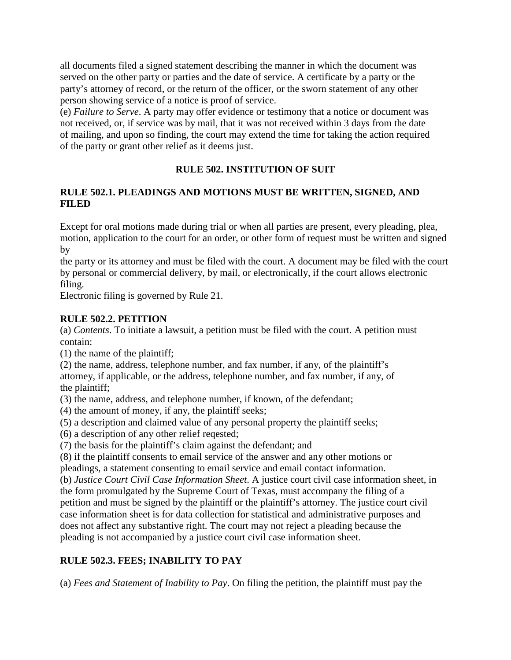all documents filed a signed statement describing the manner in which the document was served on the other party or parties and the date of service. A certificate by a party or the party's attorney of record, or the return of the officer, or the sworn statement of any other person showing service of a notice is proof of service.

(e) *Failure to Serve*. A party may offer evidence or testimony that a notice or document was not received, or, if service was by mail, that it was not received within 3 days from the date of mailing, and upon so finding, the court may extend the time for taking the action required of the party or grant other relief as it deems just.

## **RULE 502. INSTITUTION OF SUIT**

### **RULE 502.1. PLEADINGS AND MOTIONS MUST BE WRITTEN, SIGNED, AND FILED**

Except for oral motions made during trial or when all parties are present, every pleading, plea, motion, application to the court for an order, or other form of request must be written and signed by

the party or its attorney and must be filed with the court. A document may be filed with the court by personal or commercial delivery, by mail, or electronically, if the court allows electronic filing.

Electronic filing is governed by Rule 21.

### **RULE 502.2. PETITION**

(a) *Contents*. To initiate a lawsuit, a petition must be filed with the court. A petition must contain:

(1) the name of the plaintiff;

(2) the name, address, telephone number, and fax number, if any, of the plaintiff's attorney, if applicable, or the address, telephone number, and fax number, if any, of the plaintiff;

(3) the name, address, and telephone number, if known, of the defendant;

(4) the amount of money, if any, the plaintiff seeks;

(5) a description and claimed value of any personal property the plaintiff seeks;

(6) a description of any other relief reqested;

(7) the basis for the plaintiff's claim against the defendant; and

(8) if the plaintiff consents to email service of the answer and any other motions or pleadings, a statement consenting to email service and email contact information.

(b) *Justice Court Civil Case Information Sheet*. A justice court civil case information sheet, in the form promulgated by the Supreme Court of Texas, must accompany the filing of a petition and must be signed by the plaintiff or the plaintiff's attorney. The justice court civil case information sheet is for data collection for statistical and administrative purposes and does not affect any substantive right. The court may not reject a pleading because the pleading is not accompanied by a justice court civil case information sheet.

# **RULE 502.3. FEES; INABILITY TO PAY**

(a) *Fees and Statement of Inability to Pay*. On filing the petition, the plaintiff must pay the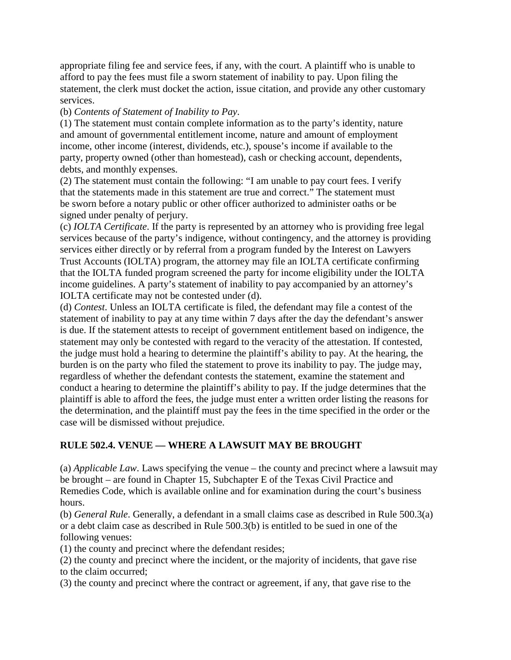appropriate filing fee and service fees, if any, with the court. A plaintiff who is unable to afford to pay the fees must file a sworn statement of inability to pay. Upon filing the statement, the clerk must docket the action, issue citation, and provide any other customary services.

#### (b) *Contents of Statement of Inability to Pay*.

(1) The statement must contain complete information as to the party's identity, nature and amount of governmental entitlement income, nature and amount of employment income, other income (interest, dividends, etc.), spouse's income if available to the party, property owned (other than homestead), cash or checking account, dependents, debts, and monthly expenses.

(2) The statement must contain the following: "I am unable to pay court fees. I verify that the statements made in this statement are true and correct." The statement must be sworn before a notary public or other officer authorized to administer oaths or be signed under penalty of perjury.

(c) *IOLTA Certificate*. If the party is represented by an attorney who is providing free legal services because of the party's indigence, without contingency, and the attorney is providing services either directly or by referral from a program funded by the Interest on Lawyers Trust Accounts (IOLTA) program, the attorney may file an IOLTA certificate confirming that the IOLTA funded program screened the party for income eligibility under the IOLTA income guidelines. A party's statement of inability to pay accompanied by an attorney's IOLTA certificate may not be contested under (d).

(d) *Contest*. Unless an IOLTA certificate is filed, the defendant may file a contest of the statement of inability to pay at any time within 7 days after the day the defendant's answer is due. If the statement attests to receipt of government entitlement based on indigence, the statement may only be contested with regard to the veracity of the attestation. If contested, the judge must hold a hearing to determine the plaintiff's ability to pay. At the hearing, the burden is on the party who filed the statement to prove its inability to pay. The judge may, regardless of whether the defendant contests the statement, examine the statement and conduct a hearing to determine the plaintiff's ability to pay. If the judge determines that the plaintiff is able to afford the fees, the judge must enter a written order listing the reasons for the determination, and the plaintiff must pay the fees in the time specified in the order or the case will be dismissed without prejudice.

#### **RULE 502.4. VENUE — WHERE A LAWSUIT MAY BE BROUGHT**

(a) *Applicable Law*. Laws specifying the venue – the county and precinct where a lawsuit may be brought – are found in Chapter 15, Subchapter E of the Texas Civil Practice and Remedies Code, which is available online and for examination during the court's business hours.

(b) *General Rule*. Generally, a defendant in a small claims case as described in Rule 500.3(a) or a debt claim case as described in Rule 500.3(b) is entitled to be sued in one of the following venues:

(1) the county and precinct where the defendant resides;

(2) the county and precinct where the incident, or the majority of incidents, that gave rise to the claim occurred;

(3) the county and precinct where the contract or agreement, if any, that gave rise to the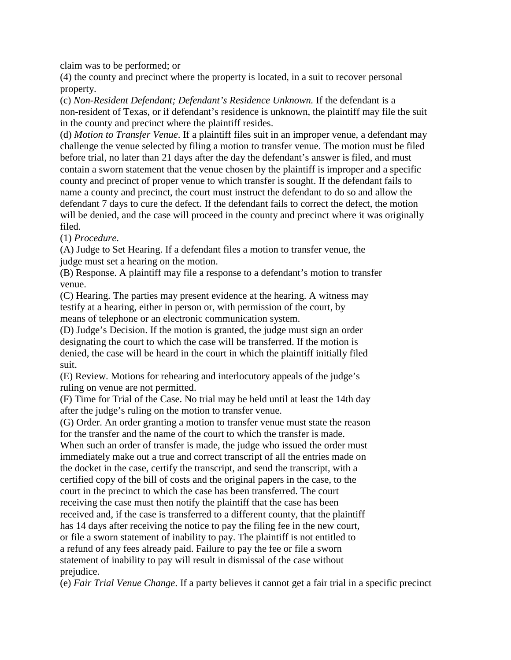claim was to be performed; or

(4) the county and precinct where the property is located, in a suit to recover personal property.

(c) *Non-Resident Defendant; Defendant's Residence Unknown.* If the defendant is a non-resident of Texas, or if defendant's residence is unknown, the plaintiff may file the suit in the county and precinct where the plaintiff resides.

(d) *Motion to Transfer Venue*. If a plaintiff files suit in an improper venue, a defendant may challenge the venue selected by filing a motion to transfer venue. The motion must be filed before trial, no later than 21 days after the day the defendant's answer is filed, and must contain a sworn statement that the venue chosen by the plaintiff is improper and a specific county and precinct of proper venue to which transfer is sought. If the defendant fails to name a county and precinct, the court must instruct the defendant to do so and allow the defendant 7 days to cure the defect. If the defendant fails to correct the defect, the motion will be denied, and the case will proceed in the county and precinct where it was originally filed.

(1) *Procedure*.

(A) Judge to Set Hearing. If a defendant files a motion to transfer venue, the judge must set a hearing on the motion.

(B) Response. A plaintiff may file a response to a defendant's motion to transfer venue.

(C) Hearing. The parties may present evidence at the hearing. A witness may testify at a hearing, either in person or, with permission of the court, by means of telephone or an electronic communication system.

(D) Judge's Decision. If the motion is granted, the judge must sign an order designating the court to which the case will be transferred. If the motion is denied, the case will be heard in the court in which the plaintiff initially filed suit.

(E) Review. Motions for rehearing and interlocutory appeals of the judge's ruling on venue are not permitted.

(F) Time for Trial of the Case. No trial may be held until at least the 14th day after the judge's ruling on the motion to transfer venue.

(G) Order. An order granting a motion to transfer venue must state the reason for the transfer and the name of the court to which the transfer is made.

When such an order of transfer is made, the judge who issued the order must immediately make out a true and correct transcript of all the entries made on the docket in the case, certify the transcript, and send the transcript, with a certified copy of the bill of costs and the original papers in the case, to the court in the precinct to which the case has been transferred. The court receiving the case must then notify the plaintiff that the case has been received and, if the case is transferred to a different county, that the plaintiff has 14 days after receiving the notice to pay the filing fee in the new court, or file a sworn statement of inability to pay. The plaintiff is not entitled to a refund of any fees already paid. Failure to pay the fee or file a sworn statement of inability to pay will result in dismissal of the case without prejudice.

(e) *Fair Trial Venue Change*. If a party believes it cannot get a fair trial in a specific precinct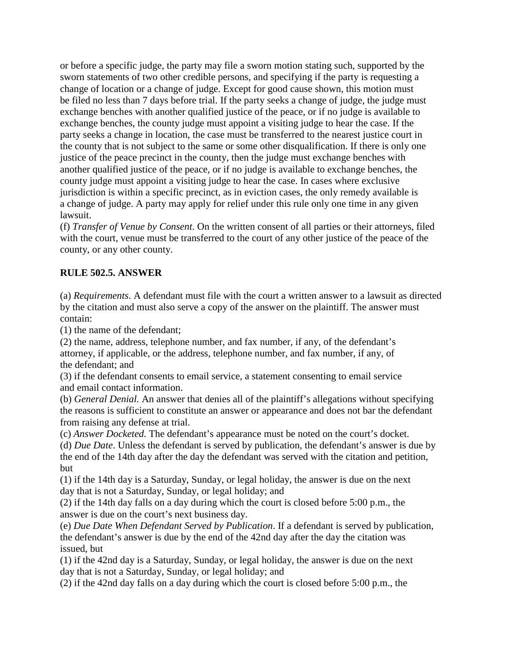or before a specific judge, the party may file a sworn motion stating such, supported by the sworn statements of two other credible persons, and specifying if the party is requesting a change of location or a change of judge. Except for good cause shown, this motion must be filed no less than 7 days before trial. If the party seeks a change of judge, the judge must exchange benches with another qualified justice of the peace, or if no judge is available to exchange benches, the county judge must appoint a visiting judge to hear the case. If the party seeks a change in location, the case must be transferred to the nearest justice court in the county that is not subject to the same or some other disqualification. If there is only one justice of the peace precinct in the county, then the judge must exchange benches with another qualified justice of the peace, or if no judge is available to exchange benches, the county judge must appoint a visiting judge to hear the case. In cases where exclusive jurisdiction is within a specific precinct, as in eviction cases, the only remedy available is a change of judge. A party may apply for relief under this rule only one time in any given lawsuit.

(f) *Transfer of Venue by Consent*. On the written consent of all parties or their attorneys, filed with the court, venue must be transferred to the court of any other justice of the peace of the county, or any other county.

### **RULE 502.5. ANSWER**

(a) *Requirements*. A defendant must file with the court a written answer to a lawsuit as directed by the citation and must also serve a copy of the answer on the plaintiff. The answer must contain:

(1) the name of the defendant;

(2) the name, address, telephone number, and fax number, if any, of the defendant's attorney, if applicable, or the address, telephone number, and fax number, if any, of the defendant; and

(3) if the defendant consents to email service, a statement consenting to email service and email contact information.

(b) *General Denial.* An answer that denies all of the plaintiff's allegations without specifying the reasons is sufficient to constitute an answer or appearance and does not bar the defendant from raising any defense at trial.

(c) *Answer Docketed.* The defendant's appearance must be noted on the court's docket.

(d) *Due Date*. Unless the defendant is served by publication, the defendant's answer is due by the end of the 14th day after the day the defendant was served with the citation and petition, but

(1) if the 14th day is a Saturday, Sunday, or legal holiday, the answer is due on the next day that is not a Saturday, Sunday, or legal holiday; and

(2) if the 14th day falls on a day during which the court is closed before 5:00 p.m., the answer is due on the court's next business day.

(e) *Due Date When Defendant Served by Publication*. If a defendant is served by publication, the defendant's answer is due by the end of the 42nd day after the day the citation was issued, but

(1) if the 42nd day is a Saturday, Sunday, or legal holiday, the answer is due on the next day that is not a Saturday, Sunday, or legal holiday; and

(2) if the 42nd day falls on a day during which the court is closed before 5:00 p.m., the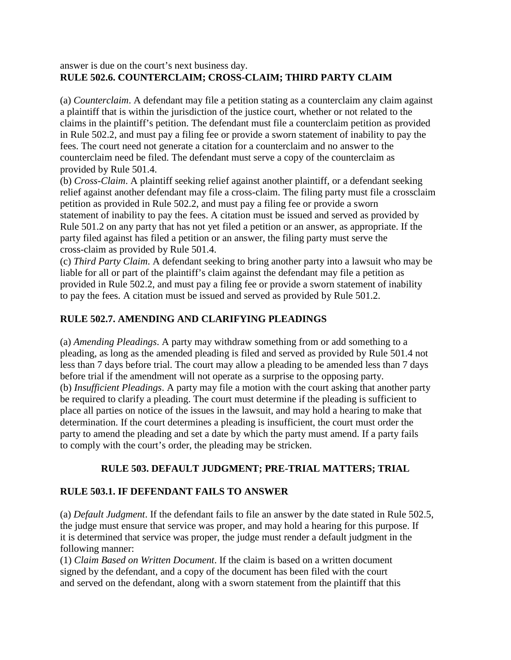#### answer is due on the court's next business day. **RULE 502.6. COUNTERCLAIM; CROSS-CLAIM; THIRD PARTY CLAIM**

(a) *Counterclaim*. A defendant may file a petition stating as a counterclaim any claim against a plaintiff that is within the jurisdiction of the justice court, whether or not related to the claims in the plaintiff's petition. The defendant must file a counterclaim petition as provided in Rule 502.2, and must pay a filing fee or provide a sworn statement of inability to pay the fees. The court need not generate a citation for a counterclaim and no answer to the counterclaim need be filed. The defendant must serve a copy of the counterclaim as provided by Rule 501.4.

(b) *Cross-Claim*. A plaintiff seeking relief against another plaintiff, or a defendant seeking relief against another defendant may file a cross-claim. The filing party must file a crossclaim petition as provided in Rule 502.2, and must pay a filing fee or provide a sworn statement of inability to pay the fees. A citation must be issued and served as provided by Rule 501.2 on any party that has not yet filed a petition or an answer, as appropriate. If the party filed against has filed a petition or an answer, the filing party must serve the cross-claim as provided by Rule 501.4.

(c) *Third Party Claim*. A defendant seeking to bring another party into a lawsuit who may be liable for all or part of the plaintiff's claim against the defendant may file a petition as provided in Rule 502.2, and must pay a filing fee or provide a sworn statement of inability to pay the fees. A citation must be issued and served as provided by Rule 501.2.

### **RULE 502.7. AMENDING AND CLARIFYING PLEADINGS**

(a) *Amending Pleadings*. A party may withdraw something from or add something to a pleading, as long as the amended pleading is filed and served as provided by Rule 501.4 not less than 7 days before trial. The court may allow a pleading to be amended less than 7 days before trial if the amendment will not operate as a surprise to the opposing party. (b) *Insufficient Pleadings*. A party may file a motion with the court asking that another party be required to clarify a pleading. The court must determine if the pleading is sufficient to place all parties on notice of the issues in the lawsuit, and may hold a hearing to make that determination. If the court determines a pleading is insufficient, the court must order the party to amend the pleading and set a date by which the party must amend. If a party fails to comply with the court's order, the pleading may be stricken.

#### **RULE 503. DEFAULT JUDGMENT; PRE-TRIAL MATTERS; TRIAL**

## **RULE 503.1. IF DEFENDANT FAILS TO ANSWER**

(a) *Default Judgment*. If the defendant fails to file an answer by the date stated in Rule 502.5, the judge must ensure that service was proper, and may hold a hearing for this purpose. If it is determined that service was proper, the judge must render a default judgment in the following manner:

(1) *Claim Based on Written Document*. If the claim is based on a written document signed by the defendant, and a copy of the document has been filed with the court and served on the defendant, along with a sworn statement from the plaintiff that this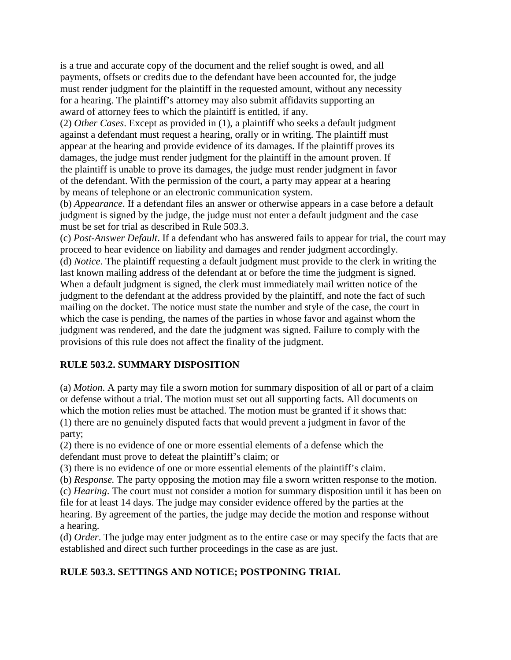is a true and accurate copy of the document and the relief sought is owed, and all payments, offsets or credits due to the defendant have been accounted for, the judge must render judgment for the plaintiff in the requested amount, without any necessity for a hearing. The plaintiff's attorney may also submit affidavits supporting an award of attorney fees to which the plaintiff is entitled, if any.

(2) *Other Cases*. Except as provided in (1), a plaintiff who seeks a default judgment against a defendant must request a hearing, orally or in writing. The plaintiff must appear at the hearing and provide evidence of its damages. If the plaintiff proves its damages, the judge must render judgment for the plaintiff in the amount proven. If the plaintiff is unable to prove its damages, the judge must render judgment in favor of the defendant. With the permission of the court, a party may appear at a hearing by means of telephone or an electronic communication system.

(b) *Appearance*. If a defendant files an answer or otherwise appears in a case before a default judgment is signed by the judge, the judge must not enter a default judgment and the case must be set for trial as described in Rule 503.3.

(c) *Post-Answer Default*. If a defendant who has answered fails to appear for trial, the court may proceed to hear evidence on liability and damages and render judgment accordingly. (d) *Notice*. The plaintiff requesting a default judgment must provide to the clerk in writing the last known mailing address of the defendant at or before the time the judgment is signed. When a default judgment is signed, the clerk must immediately mail written notice of the judgment to the defendant at the address provided by the plaintiff, and note the fact of such mailing on the docket. The notice must state the number and style of the case, the court in which the case is pending, the names of the parties in whose favor and against whom the judgment was rendered, and the date the judgment was signed. Failure to comply with the provisions of this rule does not affect the finality of the judgment.

## **RULE 503.2. SUMMARY DISPOSITION**

(a) *Motion*. A party may file a sworn motion for summary disposition of all or part of a claim or defense without a trial. The motion must set out all supporting facts. All documents on which the motion relies must be attached. The motion must be granted if it shows that: (1) there are no genuinely disputed facts that would prevent a judgment in favor of the party;

(2) there is no evidence of one or more essential elements of a defense which the defendant must prove to defeat the plaintiff's claim; or

(3) there is no evidence of one or more essential elements of the plaintiff's claim.

(b) *Response.* The party opposing the motion may file a sworn written response to the motion.

(c) *Hearing*. The court must not consider a motion for summary disposition until it has been on

file for at least 14 days. The judge may consider evidence offered by the parties at the hearing. By agreement of the parties, the judge may decide the motion and response without a hearing.

(d) *Order*. The judge may enter judgment as to the entire case or may specify the facts that are established and direct such further proceedings in the case as are just.

## **RULE 503.3. SETTINGS AND NOTICE; POSTPONING TRIAL**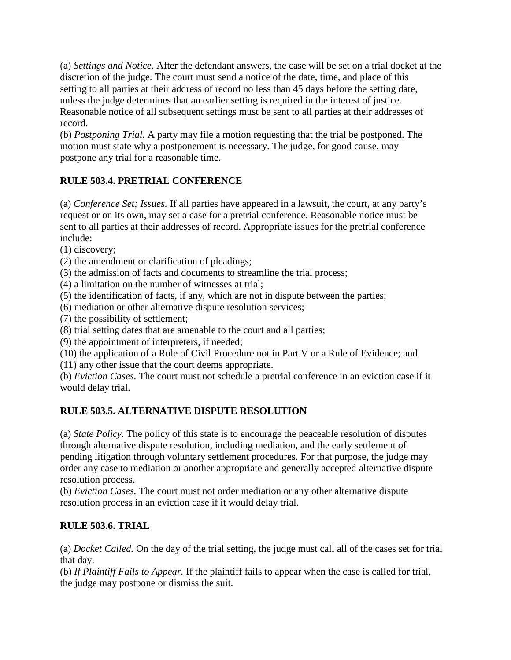(a) *Settings and Notice*. After the defendant answers, the case will be set on a trial docket at the discretion of the judge. The court must send a notice of the date, time, and place of this setting to all parties at their address of record no less than 45 days before the setting date, unless the judge determines that an earlier setting is required in the interest of justice. Reasonable notice of all subsequent settings must be sent to all parties at their addresses of record.

(b) *Postponing Trial*. A party may file a motion requesting that the trial be postponed. The motion must state why a postponement is necessary. The judge, for good cause, may postpone any trial for a reasonable time.

# **RULE 503.4. PRETRIAL CONFERENCE**

(a) *Conference Set; Issues.* If all parties have appeared in a lawsuit, the court, at any party's request or on its own, may set a case for a pretrial conference. Reasonable notice must be sent to all parties at their addresses of record. Appropriate issues for the pretrial conference include:

(1) discovery;

(2) the amendment or clarification of pleadings;

(3) the admission of facts and documents to streamline the trial process;

(4) a limitation on the number of witnesses at trial;

(5) the identification of facts, if any, which are not in dispute between the parties;

(6) mediation or other alternative dispute resolution services;

(7) the possibility of settlement;

(8) trial setting dates that are amenable to the court and all parties;

(9) the appointment of interpreters, if needed;

(10) the application of a Rule of Civil Procedure not in Part V or a Rule of Evidence; and (11) any other issue that the court deems appropriate.

(b) *Eviction Cases.* The court must not schedule a pretrial conference in an eviction case if it would delay trial.

# **RULE 503.5. ALTERNATIVE DISPUTE RESOLUTION**

(a) *State Policy.* The policy of this state is to encourage the peaceable resolution of disputes through alternative dispute resolution, including mediation, and the early settlement of pending litigation through voluntary settlement procedures. For that purpose, the judge may order any case to mediation or another appropriate and generally accepted alternative dispute resolution process.

(b) *Eviction Cases.* The court must not order mediation or any other alternative dispute resolution process in an eviction case if it would delay trial.

## **RULE 503.6. TRIAL**

(a) *Docket Called.* On the day of the trial setting, the judge must call all of the cases set for trial that day.

(b) *If Plaintiff Fails to Appear.* If the plaintiff fails to appear when the case is called for trial, the judge may postpone or dismiss the suit.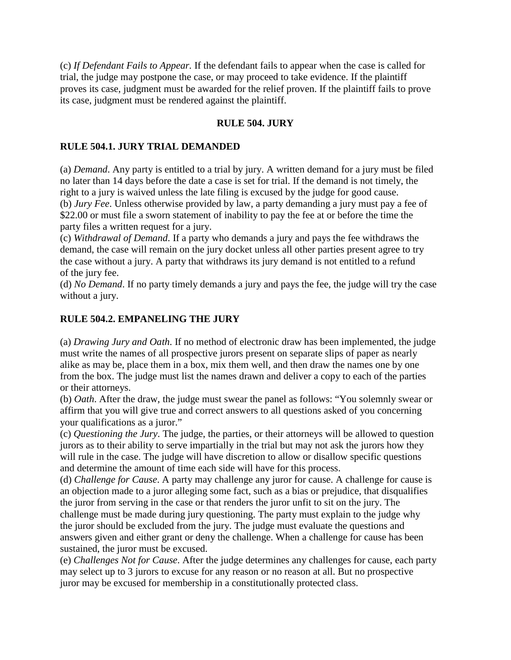(c) *If Defendant Fails to Appear.* If the defendant fails to appear when the case is called for trial, the judge may postpone the case, or may proceed to take evidence. If the plaintiff proves its case, judgment must be awarded for the relief proven. If the plaintiff fails to prove its case, judgment must be rendered against the plaintiff.

#### **RULE 504. JURY**

#### **RULE 504.1. JURY TRIAL DEMANDED**

(a) *Demand*. Any party is entitled to a trial by jury. A written demand for a jury must be filed no later than 14 days before the date a case is set for trial. If the demand is not timely, the right to a jury is waived unless the late filing is excused by the judge for good cause. (b) *Jury Fee*. Unless otherwise provided by law, a party demanding a jury must pay a fee of \$22.00 or must file a sworn statement of inability to pay the fee at or before the time the party files a written request for a jury.

(c) *Withdrawal of Demand*. If a party who demands a jury and pays the fee withdraws the demand, the case will remain on the jury docket unless all other parties present agree to try the case without a jury. A party that withdraws its jury demand is not entitled to a refund of the jury fee.

(d) *No Demand*. If no party timely demands a jury and pays the fee, the judge will try the case without a jury.

#### **RULE 504.2. EMPANELING THE JURY**

(a) *Drawing Jury and Oath*. If no method of electronic draw has been implemented, the judge must write the names of all prospective jurors present on separate slips of paper as nearly alike as may be, place them in a box, mix them well, and then draw the names one by one from the box. The judge must list the names drawn and deliver a copy to each of the parties or their attorneys.

(b) *Oath*. After the draw, the judge must swear the panel as follows: "You solemnly swear or affirm that you will give true and correct answers to all questions asked of you concerning your qualifications as a juror."

(c) *Questioning the Jury*. The judge, the parties, or their attorneys will be allowed to question jurors as to their ability to serve impartially in the trial but may not ask the jurors how they will rule in the case. The judge will have discretion to allow or disallow specific questions and determine the amount of time each side will have for this process.

(d) *Challenge for Cause*. A party may challenge any juror for cause. A challenge for cause is an objection made to a juror alleging some fact, such as a bias or prejudice, that disqualifies the juror from serving in the case or that renders the juror unfit to sit on the jury. The challenge must be made during jury questioning. The party must explain to the judge why the juror should be excluded from the jury. The judge must evaluate the questions and answers given and either grant or deny the challenge. When a challenge for cause has been sustained, the juror must be excused.

(e) *Challenges Not for Cause*. After the judge determines any challenges for cause, each party may select up to 3 jurors to excuse for any reason or no reason at all. But no prospective juror may be excused for membership in a constitutionally protected class.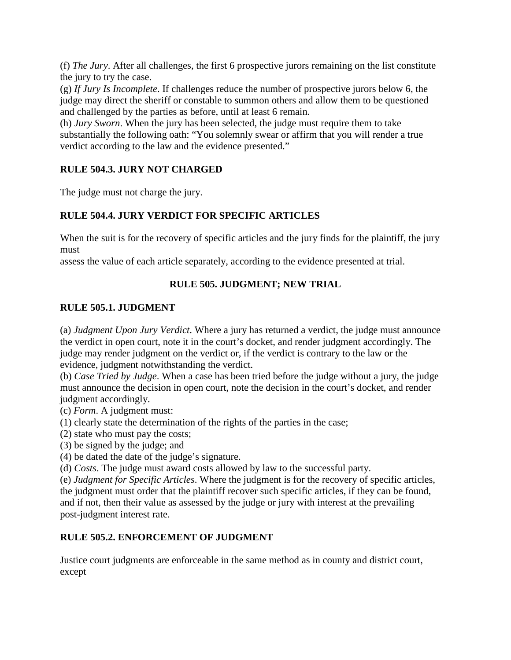(f) *The Jury*. After all challenges, the first 6 prospective jurors remaining on the list constitute the jury to try the case.

(g) *If Jury Is Incomplete*. If challenges reduce the number of prospective jurors below 6, the judge may direct the sheriff or constable to summon others and allow them to be questioned and challenged by the parties as before, until at least 6 remain.

(h) *Jury Sworn*. When the jury has been selected, the judge must require them to take substantially the following oath: "You solemnly swear or affirm that you will render a true verdict according to the law and the evidence presented."

## **RULE 504.3. JURY NOT CHARGED**

The judge must not charge the jury.

## **RULE 504.4. JURY VERDICT FOR SPECIFIC ARTICLES**

When the suit is for the recovery of specific articles and the jury finds for the plaintiff, the jury must

assess the value of each article separately, according to the evidence presented at trial.

### **RULE 505. JUDGMENT; NEW TRIAL**

#### **RULE 505.1. JUDGMENT**

(a) *Judgment Upon Jury Verdict*. Where a jury has returned a verdict, the judge must announce the verdict in open court, note it in the court's docket, and render judgment accordingly. The judge may render judgment on the verdict or, if the verdict is contrary to the law or the evidence, judgment notwithstanding the verdict.

(b) *Case Tried by Judge*. When a case has been tried before the judge without a jury, the judge must announce the decision in open court, note the decision in the court's docket, and render judgment accordingly.

(c) *Form*. A judgment must:

- (1) clearly state the determination of the rights of the parties in the case;
- (2) state who must pay the costs;
- (3) be signed by the judge; and

(4) be dated the date of the judge's signature.

(d) *Costs*. The judge must award costs allowed by law to the successful party.

(e) *Judgment for Specific Articles*. Where the judgment is for the recovery of specific articles, the judgment must order that the plaintiff recover such specific articles, if they can be found, and if not, then their value as assessed by the judge or jury with interest at the prevailing post-judgment interest rate.

#### **RULE 505.2. ENFORCEMENT OF JUDGMENT**

Justice court judgments are enforceable in the same method as in county and district court, except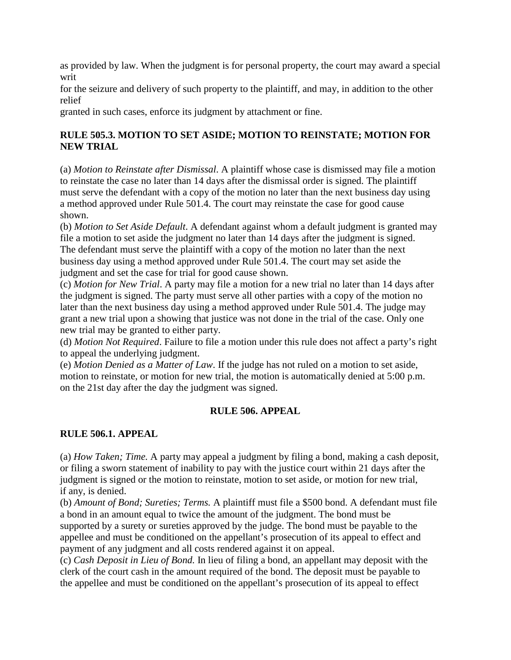as provided by law. When the judgment is for personal property, the court may award a special writ

for the seizure and delivery of such property to the plaintiff, and may, in addition to the other relief

granted in such cases, enforce its judgment by attachment or fine.

## **RULE 505.3. MOTION TO SET ASIDE; MOTION TO REINSTATE; MOTION FOR NEW TRIAL**

(a) *Motion to Reinstate after Dismissal*. A plaintiff whose case is dismissed may file a motion to reinstate the case no later than 14 days after the dismissal order is signed. The plaintiff must serve the defendant with a copy of the motion no later than the next business day using a method approved under Rule 501.4. The court may reinstate the case for good cause shown.

(b) *Motion to Set Aside Default*. A defendant against whom a default judgment is granted may file a motion to set aside the judgment no later than 14 days after the judgment is signed. The defendant must serve the plaintiff with a copy of the motion no later than the next business day using a method approved under Rule 501.4. The court may set aside the judgment and set the case for trial for good cause shown.

(c) *Motion for New Trial*. A party may file a motion for a new trial no later than 14 days after the judgment is signed. The party must serve all other parties with a copy of the motion no later than the next business day using a method approved under Rule 501.4. The judge may grant a new trial upon a showing that justice was not done in the trial of the case. Only one new trial may be granted to either party.

(d) *Motion Not Required*. Failure to file a motion under this rule does not affect a party's right to appeal the underlying judgment.

(e) *Motion Denied as a Matter of Law*. If the judge has not ruled on a motion to set aside, motion to reinstate, or motion for new trial, the motion is automatically denied at 5:00 p.m. on the 21st day after the day the judgment was signed.

## **RULE 506. APPEAL**

## **RULE 506.1. APPEAL**

(a) *How Taken; Time.* A party may appeal a judgment by filing a bond, making a cash deposit, or filing a sworn statement of inability to pay with the justice court within 21 days after the judgment is signed or the motion to reinstate, motion to set aside, or motion for new trial, if any, is denied.

(b) *Amount of Bond; Sureties; Terms.* A plaintiff must file a \$500 bond. A defendant must file a bond in an amount equal to twice the amount of the judgment. The bond must be supported by a surety or sureties approved by the judge. The bond must be payable to the appellee and must be conditioned on the appellant's prosecution of its appeal to effect and payment of any judgment and all costs rendered against it on appeal.

(c) *Cash Deposit in Lieu of Bond.* In lieu of filing a bond, an appellant may deposit with the clerk of the court cash in the amount required of the bond. The deposit must be payable to the appellee and must be conditioned on the appellant's prosecution of its appeal to effect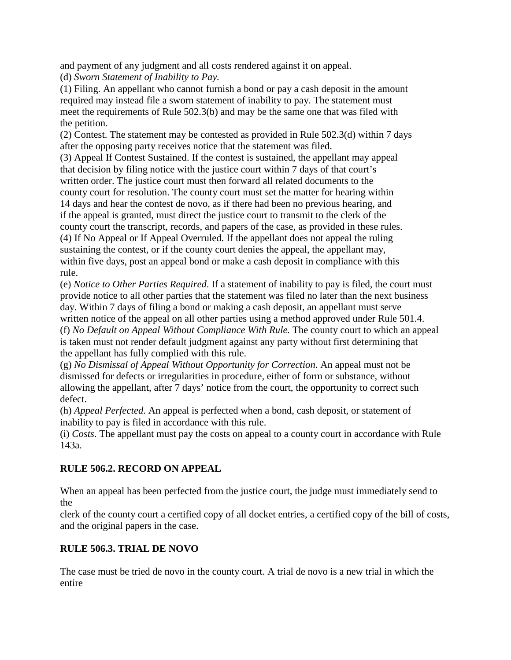and payment of any judgment and all costs rendered against it on appeal.

(d) *Sworn Statement of Inability to Pay.*

(1) Filing. An appellant who cannot furnish a bond or pay a cash deposit in the amount required may instead file a sworn statement of inability to pay. The statement must meet the requirements of Rule 502.3(b) and may be the same one that was filed with the petition.

(2) Contest. The statement may be contested as provided in Rule 502.3(d) within 7 days after the opposing party receives notice that the statement was filed.

(3) Appeal If Contest Sustained. If the contest is sustained, the appellant may appeal that decision by filing notice with the justice court within 7 days of that court's written order. The justice court must then forward all related documents to the county court for resolution. The county court must set the matter for hearing within 14 days and hear the contest de novo, as if there had been no previous hearing, and if the appeal is granted, must direct the justice court to transmit to the clerk of the county court the transcript, records, and papers of the case, as provided in these rules. (4) If No Appeal or If Appeal Overruled. If the appellant does not appeal the ruling sustaining the contest, or if the county court denies the appeal, the appellant may, within five days, post an appeal bond or make a cash deposit in compliance with this rule.

(e) *Notice to Other Parties Required*. If a statement of inability to pay is filed, the court must provide notice to all other parties that the statement was filed no later than the next business day. Within 7 days of filing a bond or making a cash deposit, an appellant must serve written notice of the appeal on all other parties using a method approved under Rule 501.4. (f) *No Default on Appeal Without Compliance With Rule.* The county court to which an appeal is taken must not render default judgment against any party without first determining that the appellant has fully complied with this rule.

(g) *No Dismissal of Appeal Without Opportunity for Correction*. An appeal must not be dismissed for defects or irregularities in procedure, either of form or substance, without allowing the appellant, after 7 days' notice from the court, the opportunity to correct such defect.

(h) *Appeal Perfected*. An appeal is perfected when a bond, cash deposit, or statement of inability to pay is filed in accordance with this rule.

(i) *Costs*. The appellant must pay the costs on appeal to a county court in accordance with Rule 143a.

## **RULE 506.2. RECORD ON APPEAL**

When an appeal has been perfected from the justice court, the judge must immediately send to the

clerk of the county court a certified copy of all docket entries, a certified copy of the bill of costs, and the original papers in the case.

#### **RULE 506.3. TRIAL DE NOVO**

The case must be tried de novo in the county court. A trial de novo is a new trial in which the entire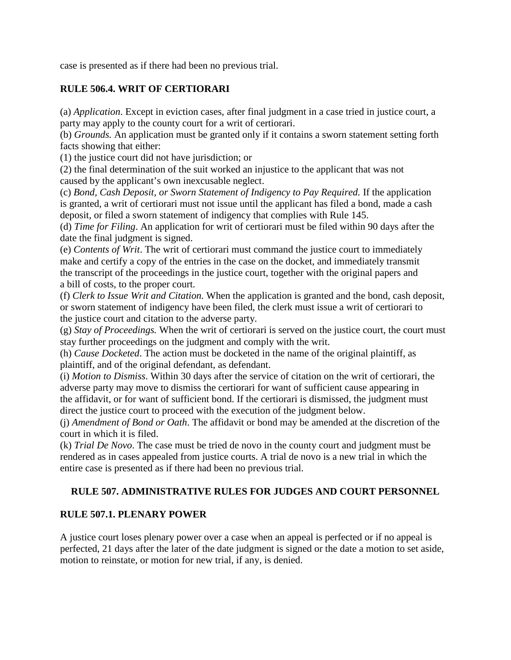case is presented as if there had been no previous trial.

#### **RULE 506.4. WRIT OF CERTIORARI**

(a) *Application*. Except in eviction cases, after final judgment in a case tried in justice court, a party may apply to the county court for a writ of certiorari.

(b) *Grounds.* An application must be granted only if it contains a sworn statement setting forth facts showing that either:

(1) the justice court did not have jurisdiction; or

(2) the final determination of the suit worked an injustice to the applicant that was not caused by the applicant's own inexcusable neglect.

(c) *Bond, Cash Deposit, or Sworn Statement of Indigency to Pay Required.* If the application is granted, a writ of certiorari must not issue until the applicant has filed a bond, made a cash deposit, or filed a sworn statement of indigency that complies with Rule 145.

(d) *Time for Filing*. An application for writ of certiorari must be filed within 90 days after the date the final judgment is signed.

(e) *Contents of Writ*. The writ of certiorari must command the justice court to immediately make and certify a copy of the entries in the case on the docket, and immediately transmit the transcript of the proceedings in the justice court, together with the original papers and a bill of costs, to the proper court.

(f) *Clerk to Issue Writ and Citation.* When the application is granted and the bond, cash deposit, or sworn statement of indigency have been filed, the clerk must issue a writ of certiorari to the justice court and citation to the adverse party.

(g) *Stay of Proceedings.* When the writ of certiorari is served on the justice court, the court must stay further proceedings on the judgment and comply with the writ.

(h) *Cause Docketed*. The action must be docketed in the name of the original plaintiff, as plaintiff, and of the original defendant, as defendant.

(i) *Motion to Dismiss*. Within 30 days after the service of citation on the writ of certiorari, the adverse party may move to dismiss the certiorari for want of sufficient cause appearing in the affidavit, or for want of sufficient bond. If the certiorari is dismissed, the judgment must direct the justice court to proceed with the execution of the judgment below.

(j) *Amendment of Bond or Oath*. The affidavit or bond may be amended at the discretion of the court in which it is filed.

(k) *Trial De Novo*. The case must be tried de novo in the county court and judgment must be rendered as in cases appealed from justice courts. A trial de novo is a new trial in which the entire case is presented as if there had been no previous trial.

#### **RULE 507. ADMINISTRATIVE RULES FOR JUDGES AND COURT PERSONNEL**

#### **RULE 507.1. PLENARY POWER**

A justice court loses plenary power over a case when an appeal is perfected or if no appeal is perfected, 21 days after the later of the date judgment is signed or the date a motion to set aside, motion to reinstate, or motion for new trial, if any, is denied.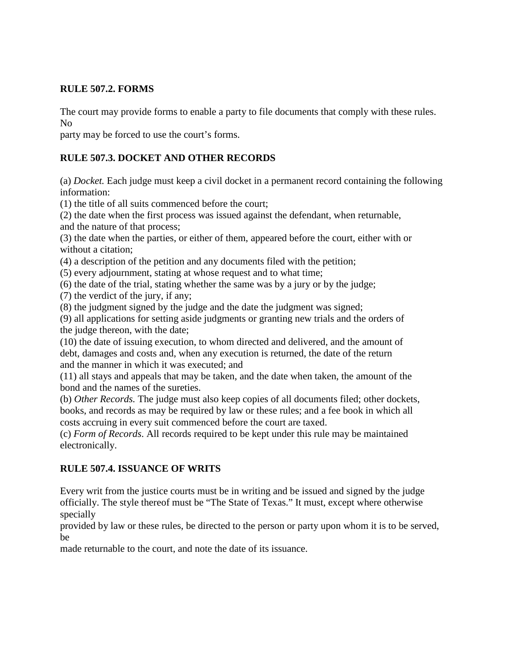#### **RULE 507.2. FORMS**

The court may provide forms to enable a party to file documents that comply with these rules. No

party may be forced to use the court's forms.

## **RULE 507.3. DOCKET AND OTHER RECORDS**

(a) *Docket.* Each judge must keep a civil docket in a permanent record containing the following information:

(1) the title of all suits commenced before the court;

(2) the date when the first process was issued against the defendant, when returnable, and the nature of that process;

(3) the date when the parties, or either of them, appeared before the court, either with or without a citation;

(4) a description of the petition and any documents filed with the petition;

(5) every adjournment, stating at whose request and to what time;

(6) the date of the trial, stating whether the same was by a jury or by the judge;

(7) the verdict of the jury, if any;

(8) the judgment signed by the judge and the date the judgment was signed;

(9) all applications for setting aside judgments or granting new trials and the orders of the judge thereon, with the date;

(10) the date of issuing execution, to whom directed and delivered, and the amount of debt, damages and costs and, when any execution is returned, the date of the return and the manner in which it was executed; and

(11) all stays and appeals that may be taken, and the date when taken, the amount of the bond and the names of the sureties.

(b) *Other Records.* The judge must also keep copies of all documents filed; other dockets, books, and records as may be required by law or these rules; and a fee book in which all costs accruing in every suit commenced before the court are taxed.

(c) *Form of Records*. All records required to be kept under this rule may be maintained electronically.

#### **RULE 507.4. ISSUANCE OF WRITS**

Every writ from the justice courts must be in writing and be issued and signed by the judge officially. The style thereof must be "The State of Texas." It must, except where otherwise specially

provided by law or these rules, be directed to the person or party upon whom it is to be served, be

made returnable to the court, and note the date of its issuance.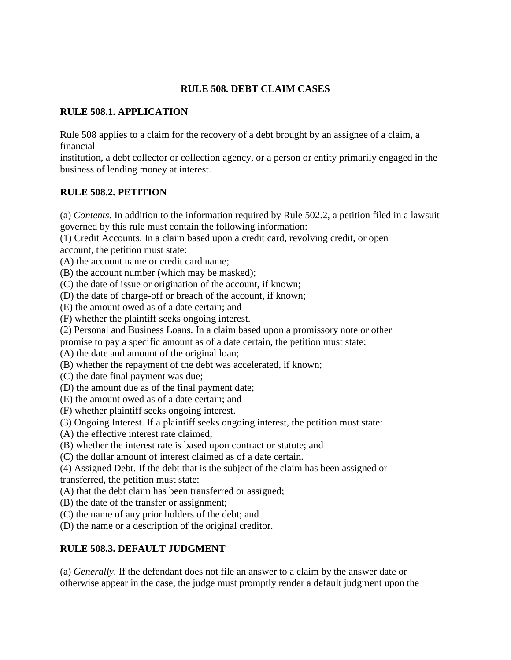#### **RULE 508. DEBT CLAIM CASES**

#### **RULE 508.1. APPLICATION**

Rule 508 applies to a claim for the recovery of a debt brought by an assignee of a claim, a financial

institution, a debt collector or collection agency, or a person or entity primarily engaged in the business of lending money at interest.

### **RULE 508.2. PETITION**

(a) *Contents*. In addition to the information required by Rule 502.2, a petition filed in a lawsuit governed by this rule must contain the following information:

(1) Credit Accounts. In a claim based upon a credit card, revolving credit, or open account, the petition must state:

(A) the account name or credit card name;

(B) the account number (which may be masked);

(C) the date of issue or origination of the account, if known;

(D) the date of charge-off or breach of the account, if known;

(E) the amount owed as of a date certain; and

(F) whether the plaintiff seeks ongoing interest.

(2) Personal and Business Loans. In a claim based upon a promissory note or other

promise to pay a specific amount as of a date certain, the petition must state:

(A) the date and amount of the original loan;

(B) whether the repayment of the debt was accelerated, if known;

(C) the date final payment was due;

(D) the amount due as of the final payment date;

(E) the amount owed as of a date certain; and

(F) whether plaintiff seeks ongoing interest.

(3) Ongoing Interest. If a plaintiff seeks ongoing interest, the petition must state:

(A) the effective interest rate claimed;

(B) whether the interest rate is based upon contract or statute; and

(C) the dollar amount of interest claimed as of a date certain.

(4) Assigned Debt. If the debt that is the subject of the claim has been assigned or transferred, the petition must state:

(A) that the debt claim has been transferred or assigned;

(B) the date of the transfer or assignment;

(C) the name of any prior holders of the debt; and

(D) the name or a description of the original creditor.

#### **RULE 508.3. DEFAULT JUDGMENT**

(a) *Generally*. If the defendant does not file an answer to a claim by the answer date or otherwise appear in the case, the judge must promptly render a default judgment upon the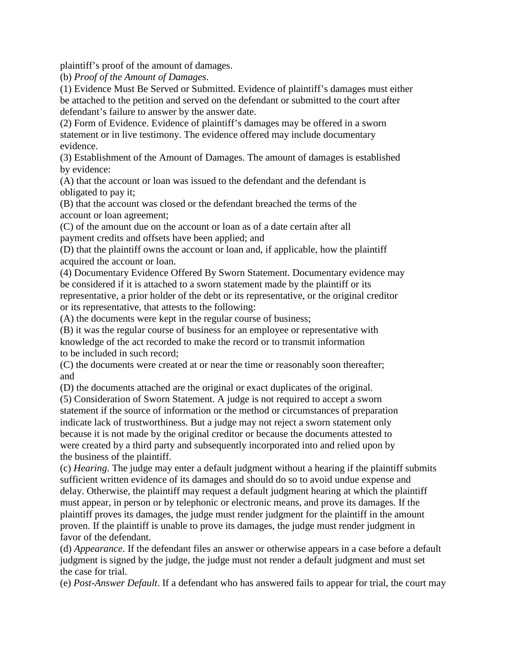plaintiff's proof of the amount of damages.

(b) *Proof of the Amount of Damages*.

(1) Evidence Must Be Served or Submitted. Evidence of plaintiff's damages must either be attached to the petition and served on the defendant or submitted to the court after defendant's failure to answer by the answer date.

(2) Form of Evidence. Evidence of plaintiff's damages may be offered in a sworn statement or in live testimony. The evidence offered may include documentary evidence.

(3) Establishment of the Amount of Damages. The amount of damages is established by evidence:

(A) that the account or loan was issued to the defendant and the defendant is obligated to pay it;

(B) that the account was closed or the defendant breached the terms of the account or loan agreement;

(C) of the amount due on the account or loan as of a date certain after all payment credits and offsets have been applied; and

(D) that the plaintiff owns the account or loan and, if applicable, how the plaintiff acquired the account or loan.

(4) Documentary Evidence Offered By Sworn Statement. Documentary evidence may be considered if it is attached to a sworn statement made by the plaintiff or its representative, a prior holder of the debt or its representative, or the original creditor or its representative, that attests to the following:

(A) the documents were kept in the regular course of business;

(B) it was the regular course of business for an employee or representative with knowledge of the act recorded to make the record or to transmit information to be included in such record;

(C) the documents were created at or near the time or reasonably soon thereafter; and

(D) the documents attached are the original or exact duplicates of the original.

(5) Consideration of Sworn Statement. A judge is not required to accept a sworn statement if the source of information or the method or circumstances of preparation indicate lack of trustworthiness. But a judge may not reject a sworn statement only because it is not made by the original creditor or because the documents attested to were created by a third party and subsequently incorporated into and relied upon by the business of the plaintiff.

(c) *Hearing*. The judge may enter a default judgment without a hearing if the plaintiff submits sufficient written evidence of its damages and should do so to avoid undue expense and delay. Otherwise, the plaintiff may request a default judgment hearing at which the plaintiff must appear, in person or by telephonic or electronic means, and prove its damages. If the plaintiff proves its damages, the judge must render judgment for the plaintiff in the amount proven. If the plaintiff is unable to prove its damages, the judge must render judgment in favor of the defendant.

(d) *Appearance*. If the defendant files an answer or otherwise appears in a case before a default judgment is signed by the judge, the judge must not render a default judgment and must set the case for trial.

(e) *Post-Answer Default*. If a defendant who has answered fails to appear for trial, the court may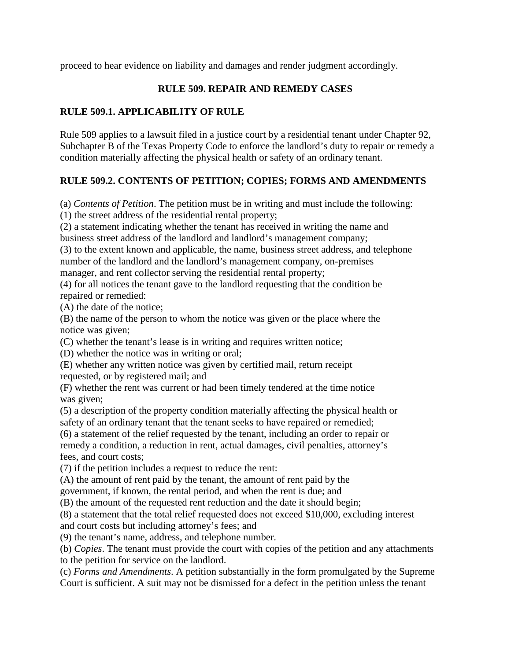proceed to hear evidence on liability and damages and render judgment accordingly.

### **RULE 509. REPAIR AND REMEDY CASES**

#### **RULE 509.1. APPLICABILITY OF RULE**

Rule 509 applies to a lawsuit filed in a justice court by a residential tenant under Chapter 92, Subchapter B of the Texas Property Code to enforce the landlord's duty to repair or remedy a condition materially affecting the physical health or safety of an ordinary tenant.

### **RULE 509.2. CONTENTS OF PETITION; COPIES; FORMS AND AMENDMENTS**

(a) *Contents of Petition*. The petition must be in writing and must include the following:

(1) the street address of the residential rental property;

(2) a statement indicating whether the tenant has received in writing the name and business street address of the landlord and landlord's management company;

(3) to the extent known and applicable, the name, business street address, and telephone number of the landlord and the landlord's management company, on-premises

manager, and rent collector serving the residential rental property;

(4) for all notices the tenant gave to the landlord requesting that the condition be repaired or remedied:

(A) the date of the notice;

(B) the name of the person to whom the notice was given or the place where the notice was given;

(C) whether the tenant's lease is in writing and requires written notice;

(D) whether the notice was in writing or oral;

(E) whether any written notice was given by certified mail, return receipt requested, or by registered mail; and

(F) whether the rent was current or had been timely tendered at the time notice was given;

(5) a description of the property condition materially affecting the physical health or safety of an ordinary tenant that the tenant seeks to have repaired or remedied;

(6) a statement of the relief requested by the tenant, including an order to repair or remedy a condition, a reduction in rent, actual damages, civil penalties, attorney's fees, and court costs;

(7) if the petition includes a request to reduce the rent:

(A) the amount of rent paid by the tenant, the amount of rent paid by the

government, if known, the rental period, and when the rent is due; and

(B) the amount of the requested rent reduction and the date it should begin;

(8) a statement that the total relief requested does not exceed \$10,000, excluding interest and court costs but including attorney's fees; and

(9) the tenant's name, address, and telephone number.

(b) *Copies*. The tenant must provide the court with copies of the petition and any attachments to the petition for service on the landlord.

(c) *Forms and Amendments*. A petition substantially in the form promulgated by the Supreme Court is sufficient. A suit may not be dismissed for a defect in the petition unless the tenant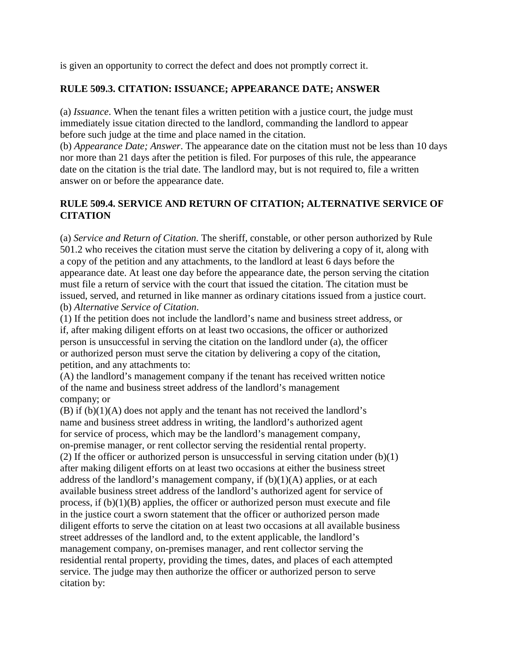is given an opportunity to correct the defect and does not promptly correct it.

### **RULE 509.3. CITATION: ISSUANCE; APPEARANCE DATE; ANSWER**

(a) *Issuance*. When the tenant files a written petition with a justice court, the judge must immediately issue citation directed to the landlord, commanding the landlord to appear before such judge at the time and place named in the citation.

(b) *Appearance Date; Answer*. The appearance date on the citation must not be less than 10 days nor more than 21 days after the petition is filed. For purposes of this rule, the appearance date on the citation is the trial date. The landlord may, but is not required to, file a written answer on or before the appearance date.

### **RULE 509.4. SERVICE AND RETURN OF CITATION; ALTERNATIVE SERVICE OF CITATION**

(a) *Service and Return of Citation*. The sheriff, constable, or other person authorized by Rule 501.2 who receives the citation must serve the citation by delivering a copy of it, along with a copy of the petition and any attachments, to the landlord at least 6 days before the appearance date. At least one day before the appearance date, the person serving the citation must file a return of service with the court that issued the citation. The citation must be issued, served, and returned in like manner as ordinary citations issued from a justice court. (b) *Alternative Service of Citation*.

(1) If the petition does not include the landlord's name and business street address, or if, after making diligent efforts on at least two occasions, the officer or authorized person is unsuccessful in serving the citation on the landlord under (a), the officer or authorized person must serve the citation by delivering a copy of the citation, petition, and any attachments to:

(A) the landlord's management company if the tenant has received written notice of the name and business street address of the landlord's management company; or

 $(B)$  if  $(b)(1)(A)$  does not apply and the tenant has not received the landlord's name and business street address in writing, the landlord's authorized agent for service of process, which may be the landlord's management company, on-premise manager, or rent collector serving the residential rental property. (2) If the officer or authorized person is unsuccessful in serving citation under  $(b)(1)$ after making diligent efforts on at least two occasions at either the business street address of the landlord's management company, if  $(b)(1)(A)$  applies, or at each available business street address of the landlord's authorized agent for service of process, if  $(b)(1)(B)$  applies, the officer or authorized person must execute and file in the justice court a sworn statement that the officer or authorized person made diligent efforts to serve the citation on at least two occasions at all available business street addresses of the landlord and, to the extent applicable, the landlord's management company, on-premises manager, and rent collector serving the residential rental property, providing the times, dates, and places of each attempted service. The judge may then authorize the officer or authorized person to serve citation by: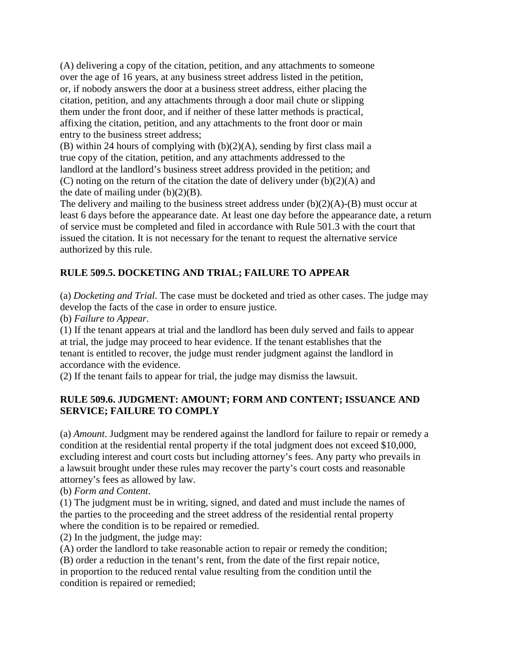(A) delivering a copy of the citation, petition, and any attachments to someone over the age of 16 years, at any business street address listed in the petition, or, if nobody answers the door at a business street address, either placing the citation, petition, and any attachments through a door mail chute or slipping them under the front door, and if neither of these latter methods is practical, affixing the citation, petition, and any attachments to the front door or main entry to the business street address;

(B) within 24 hours of complying with (b)(2)(A), sending by first class mail a true copy of the citation, petition, and any attachments addressed to the landlord at the landlord's business street address provided in the petition; and (C) noting on the return of the citation the date of delivery under  $(b)(2)(A)$  and the date of mailing under  $(b)(2)(B)$ .

The delivery and mailing to the business street address under  $(b)(2)(A)$ - $(B)$  must occur at least 6 days before the appearance date. At least one day before the appearance date, a return of service must be completed and filed in accordance with Rule 501.3 with the court that issued the citation. It is not necessary for the tenant to request the alternative service authorized by this rule.

## **RULE 509.5. DOCKETING AND TRIAL; FAILURE TO APPEAR**

(a) *Docketing and Trial*. The case must be docketed and tried as other cases. The judge may develop the facts of the case in order to ensure justice.

(b) *Failure to Appear*.

(1) If the tenant appears at trial and the landlord has been duly served and fails to appear at trial, the judge may proceed to hear evidence. If the tenant establishes that the tenant is entitled to recover, the judge must render judgment against the landlord in accordance with the evidence.

(2) If the tenant fails to appear for trial, the judge may dismiss the lawsuit.

### **RULE 509.6. JUDGMENT: AMOUNT; FORM AND CONTENT; ISSUANCE AND SERVICE; FAILURE TO COMPLY**

(a) *Amount*. Judgment may be rendered against the landlord for failure to repair or remedy a condition at the residential rental property if the total judgment does not exceed \$10,000, excluding interest and court costs but including attorney's fees. Any party who prevails in a lawsuit brought under these rules may recover the party's court costs and reasonable attorney's fees as allowed by law.

(b) *Form and Content*.

(1) The judgment must be in writing, signed, and dated and must include the names of the parties to the proceeding and the street address of the residential rental property where the condition is to be repaired or remedied.

(2) In the judgment, the judge may:

(A) order the landlord to take reasonable action to repair or remedy the condition;

(B) order a reduction in the tenant's rent, from the date of the first repair notice, in proportion to the reduced rental value resulting from the condition until the condition is repaired or remedied;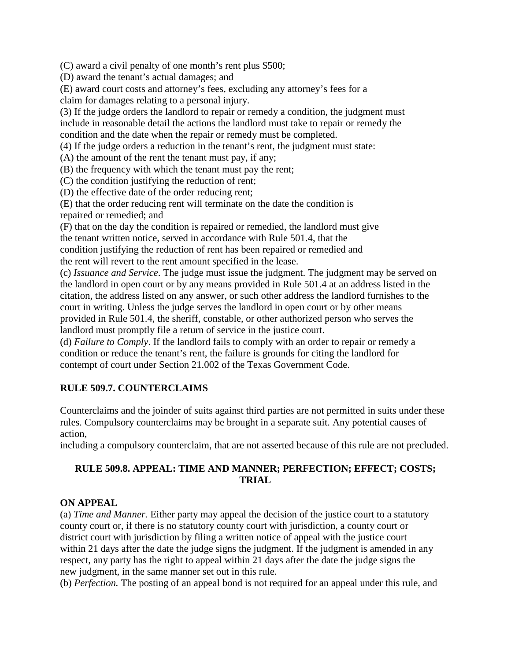(C) award a civil penalty of one month's rent plus \$500;

(D) award the tenant's actual damages; and

(E) award court costs and attorney's fees, excluding any attorney's fees for a claim for damages relating to a personal injury.

(3) If the judge orders the landlord to repair or remedy a condition, the judgment must include in reasonable detail the actions the landlord must take to repair or remedy the condition and the date when the repair or remedy must be completed.

(4) If the judge orders a reduction in the tenant's rent, the judgment must state:

(A) the amount of the rent the tenant must pay, if any;

(B) the frequency with which the tenant must pay the rent;

(C) the condition justifying the reduction of rent;

(D) the effective date of the order reducing rent;

(E) that the order reducing rent will terminate on the date the condition is repaired or remedied; and

(F) that on the day the condition is repaired or remedied, the landlord must give the tenant written notice, served in accordance with Rule 501.4, that the condition justifying the reduction of rent has been repaired or remedied and the rent will revert to the rent amount specified in the lease.

(c) *Issuance and Service*. The judge must issue the judgment. The judgment may be served on the landlord in open court or by any means provided in Rule 501.4 at an address listed in the citation, the address listed on any answer, or such other address the landlord furnishes to the court in writing. Unless the judge serves the landlord in open court or by other means provided in Rule 501.4, the sheriff, constable, or other authorized person who serves the landlord must promptly file a return of service in the justice court.

(d) *Failure to Comply*. If the landlord fails to comply with an order to repair or remedy a condition or reduce the tenant's rent, the failure is grounds for citing the landlord for contempt of court under Section 21.002 of the Texas Government Code.

#### **RULE 509.7. COUNTERCLAIMS**

Counterclaims and the joinder of suits against third parties are not permitted in suits under these rules. Compulsory counterclaims may be brought in a separate suit. Any potential causes of action,

including a compulsory counterclaim, that are not asserted because of this rule are not precluded.

#### **RULE 509.8. APPEAL: TIME AND MANNER; PERFECTION; EFFECT; COSTS; TRIAL**

#### **ON APPEAL**

(a) *Time and Manner.* Either party may appeal the decision of the justice court to a statutory county court or, if there is no statutory county court with jurisdiction, a county court or district court with jurisdiction by filing a written notice of appeal with the justice court within 21 days after the date the judge signs the judgment. If the judgment is amended in any respect, any party has the right to appeal within 21 days after the date the judge signs the new judgment, in the same manner set out in this rule.

(b) *Perfection.* The posting of an appeal bond is not required for an appeal under this rule, and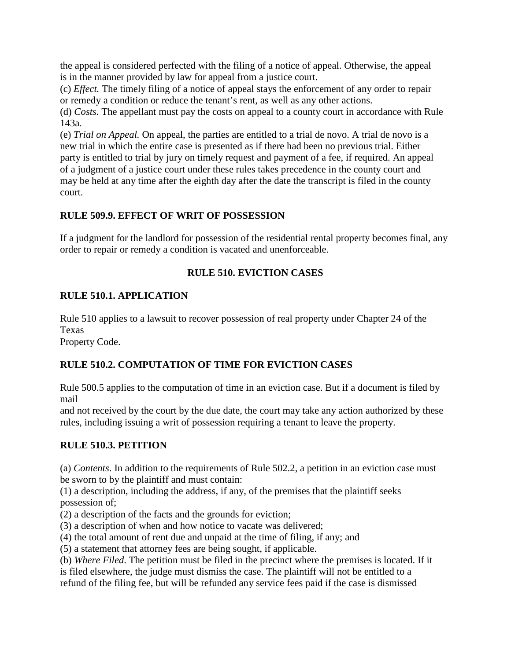the appeal is considered perfected with the filing of a notice of appeal. Otherwise, the appeal is in the manner provided by law for appeal from a justice court.

(c) *Effect.* The timely filing of a notice of appeal stays the enforcement of any order to repair or remedy a condition or reduce the tenant's rent, as well as any other actions.

(d) *Costs.* The appellant must pay the costs on appeal to a county court in accordance with Rule 143a.

(e) *Trial on Appeal.* On appeal, the parties are entitled to a trial de novo. A trial de novo is a new trial in which the entire case is presented as if there had been no previous trial. Either party is entitled to trial by jury on timely request and payment of a fee, if required. An appeal of a judgment of a justice court under these rules takes precedence in the county court and may be held at any time after the eighth day after the date the transcript is filed in the county court.

### **RULE 509.9. EFFECT OF WRIT OF POSSESSION**

If a judgment for the landlord for possession of the residential rental property becomes final, any order to repair or remedy a condition is vacated and unenforceable.

## **RULE 510. EVICTION CASES**

### **RULE 510.1. APPLICATION**

Rule 510 applies to a lawsuit to recover possession of real property under Chapter 24 of the Texas

Property Code.

## **RULE 510.2. COMPUTATION OF TIME FOR EVICTION CASES**

Rule 500.5 applies to the computation of time in an eviction case. But if a document is filed by mail

and not received by the court by the due date, the court may take any action authorized by these rules, including issuing a writ of possession requiring a tenant to leave the property.

#### **RULE 510.3. PETITION**

(a) *Contents*. In addition to the requirements of Rule 502.2, a petition in an eviction case must be sworn to by the plaintiff and must contain:

(1) a description, including the address, if any, of the premises that the plaintiff seeks possession of;

(2) a description of the facts and the grounds for eviction;

(3) a description of when and how notice to vacate was delivered;

(4) the total amount of rent due and unpaid at the time of filing, if any; and

(5) a statement that attorney fees are being sought, if applicable.

(b) *Where Filed*. The petition must be filed in the precinct where the premises is located. If it is filed elsewhere, the judge must dismiss the case. The plaintiff will not be entitled to a refund of the filing fee, but will be refunded any service fees paid if the case is dismissed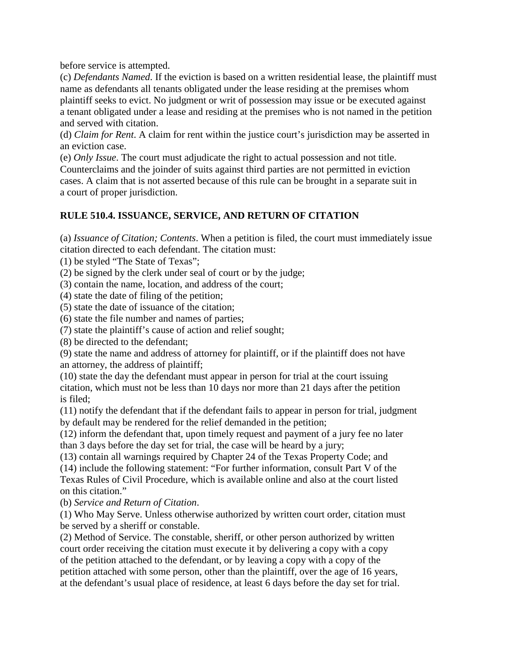before service is attempted.

(c) *Defendants Named*. If the eviction is based on a written residential lease, the plaintiff must name as defendants all tenants obligated under the lease residing at the premises whom plaintiff seeks to evict. No judgment or writ of possession may issue or be executed against a tenant obligated under a lease and residing at the premises who is not named in the petition and served with citation.

(d) *Claim for Rent*. A claim for rent within the justice court's jurisdiction may be asserted in an eviction case.

(e) *Only Issue*. The court must adjudicate the right to actual possession and not title. Counterclaims and the joinder of suits against third parties are not permitted in eviction cases. A claim that is not asserted because of this rule can be brought in a separate suit in a court of proper jurisdiction.

## **RULE 510.4. ISSUANCE, SERVICE, AND RETURN OF CITATION**

(a) *Issuance of Citation; Contents*. When a petition is filed, the court must immediately issue citation directed to each defendant. The citation must:

(1) be styled "The State of Texas";

(2) be signed by the clerk under seal of court or by the judge;

(3) contain the name, location, and address of the court;

(4) state the date of filing of the petition;

(5) state the date of issuance of the citation;

(6) state the file number and names of parties;

(7) state the plaintiff's cause of action and relief sought;

(8) be directed to the defendant;

(9) state the name and address of attorney for plaintiff, or if the plaintiff does not have an attorney, the address of plaintiff;

(10) state the day the defendant must appear in person for trial at the court issuing citation, which must not be less than 10 days nor more than 21 days after the petition is filed;

(11) notify the defendant that if the defendant fails to appear in person for trial, judgment by default may be rendered for the relief demanded in the petition;

(12) inform the defendant that, upon timely request and payment of a jury fee no later than 3 days before the day set for trial, the case will be heard by a jury;

(13) contain all warnings required by Chapter 24 of the Texas Property Code; and

(14) include the following statement: "For further information, consult Part V of the Texas Rules of Civil Procedure, which is available online and also at the court listed on this citation."

(b) *Service and Return of Citation*.

(1) Who May Serve. Unless otherwise authorized by written court order, citation must be served by a sheriff or constable.

(2) Method of Service. The constable, sheriff, or other person authorized by written court order receiving the citation must execute it by delivering a copy with a copy of the petition attached to the defendant, or by leaving a copy with a copy of the petition attached with some person, other than the plaintiff, over the age of 16 years, at the defendant's usual place of residence, at least 6 days before the day set for trial.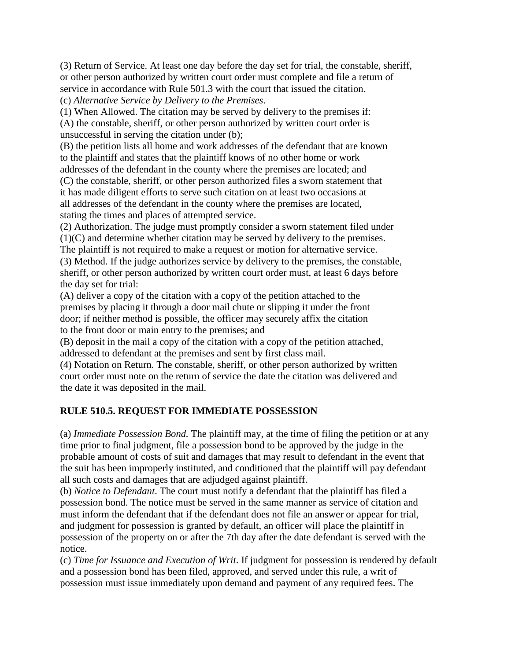(3) Return of Service. At least one day before the day set for trial, the constable, sheriff, or other person authorized by written court order must complete and file a return of service in accordance with Rule 501.3 with the court that issued the citation.

(c) *Alternative Service by Delivery to the Premises*.

(1) When Allowed. The citation may be served by delivery to the premises if: (A) the constable, sheriff, or other person authorized by written court order is unsuccessful in serving the citation under (b);

(B) the petition lists all home and work addresses of the defendant that are known to the plaintiff and states that the plaintiff knows of no other home or work addresses of the defendant in the county where the premises are located; and

(C) the constable, sheriff, or other person authorized files a sworn statement that it has made diligent efforts to serve such citation on at least two occasions at all addresses of the defendant in the county where the premises are located, stating the times and places of attempted service.

(2) Authorization. The judge must promptly consider a sworn statement filed under (1)(C) and determine whether citation may be served by delivery to the premises. The plaintiff is not required to make a request or motion for alternative service.

(3) Method. If the judge authorizes service by delivery to the premises, the constable, sheriff, or other person authorized by written court order must, at least 6 days before the day set for trial:

(A) deliver a copy of the citation with a copy of the petition attached to the premises by placing it through a door mail chute or slipping it under the front door; if neither method is possible, the officer may securely affix the citation to the front door or main entry to the premises; and

(B) deposit in the mail a copy of the citation with a copy of the petition attached, addressed to defendant at the premises and sent by first class mail.

(4) Notation on Return. The constable, sheriff, or other person authorized by written court order must note on the return of service the date the citation was delivered and the date it was deposited in the mail.

## **RULE 510.5. REQUEST FOR IMMEDIATE POSSESSION**

(a) *Immediate Possession Bond.* The plaintiff may, at the time of filing the petition or at any time prior to final judgment, file a possession bond to be approved by the judge in the probable amount of costs of suit and damages that may result to defendant in the event that the suit has been improperly instituted, and conditioned that the plaintiff will pay defendant all such costs and damages that are adjudged against plaintiff.

(b) *Notice to Defendant*. The court must notify a defendant that the plaintiff has filed a possession bond. The notice must be served in the same manner as service of citation and must inform the defendant that if the defendant does not file an answer or appear for trial, and judgment for possession is granted by default, an officer will place the plaintiff in possession of the property on or after the 7th day after the date defendant is served with the notice.

(c) *Time for Issuance and Execution of Writ*. If judgment for possession is rendered by default and a possession bond has been filed, approved, and served under this rule, a writ of possession must issue immediately upon demand and payment of any required fees. The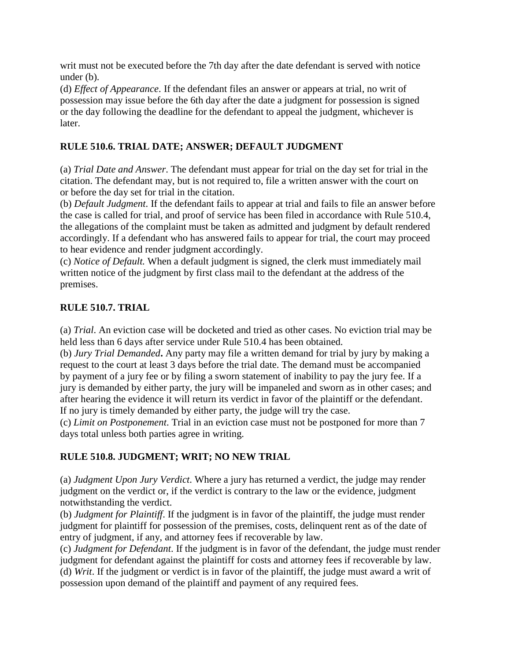writ must not be executed before the 7th day after the date defendant is served with notice under (b).

(d) *Effect of Appearance*. If the defendant files an answer or appears at trial, no writ of possession may issue before the 6th day after the date a judgment for possession is signed or the day following the deadline for the defendant to appeal the judgment, whichever is later.

### **RULE 510.6. TRIAL DATE; ANSWER; DEFAULT JUDGMENT**

(a) *Trial Date and Answer*. The defendant must appear for trial on the day set for trial in the citation. The defendant may, but is not required to, file a written answer with the court on or before the day set for trial in the citation.

(b) *Default Judgment*. If the defendant fails to appear at trial and fails to file an answer before the case is called for trial, and proof of service has been filed in accordance with Rule 510.4, the allegations of the complaint must be taken as admitted and judgment by default rendered accordingly. If a defendant who has answered fails to appear for trial, the court may proceed to hear evidence and render judgment accordingly.

(c) *Notice of Default.* When a default judgment is signed, the clerk must immediately mail written notice of the judgment by first class mail to the defendant at the address of the premises.

### **RULE 510.7. TRIAL**

(a) *Trial*. An eviction case will be docketed and tried as other cases. No eviction trial may be held less than 6 days after service under Rule 510.4 has been obtained.

(b) *Jury Trial Demanded***.** Any party may file a written demand for trial by jury by making a request to the court at least 3 days before the trial date. The demand must be accompanied by payment of a jury fee or by filing a sworn statement of inability to pay the jury fee. If a jury is demanded by either party, the jury will be impaneled and sworn as in other cases; and after hearing the evidence it will return its verdict in favor of the plaintiff or the defendant. If no jury is timely demanded by either party, the judge will try the case.

(c) *Limit on Postponement*. Trial in an eviction case must not be postponed for more than 7 days total unless both parties agree in writing.

## **RULE 510.8. JUDGMENT; WRIT; NO NEW TRIAL**

(a) *Judgment Upon Jury Verdict*. Where a jury has returned a verdict, the judge may render judgment on the verdict or, if the verdict is contrary to the law or the evidence, judgment notwithstanding the verdict.

(b) *Judgment for Plaintiff*. If the judgment is in favor of the plaintiff, the judge must render judgment for plaintiff for possession of the premises, costs, delinquent rent as of the date of entry of judgment, if any, and attorney fees if recoverable by law.

(c) *Judgment for Defendant*. If the judgment is in favor of the defendant, the judge must render judgment for defendant against the plaintiff for costs and attorney fees if recoverable by law. (d) *Writ*. If the judgment or verdict is in favor of the plaintiff, the judge must award a writ of possession upon demand of the plaintiff and payment of any required fees.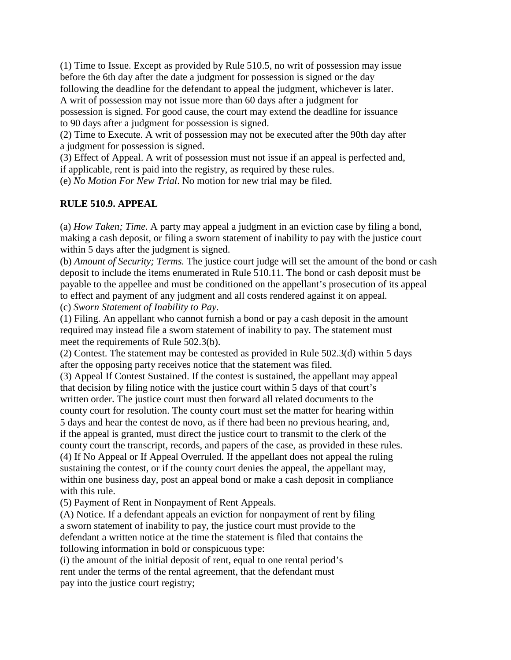(1) Time to Issue. Except as provided by Rule 510.5, no writ of possession may issue before the 6th day after the date a judgment for possession is signed or the day following the deadline for the defendant to appeal the judgment, whichever is later.

A writ of possession may not issue more than 60 days after a judgment for possession is signed. For good cause, the court may extend the deadline for issuance to 90 days after a judgment for possession is signed.

(2) Time to Execute. A writ of possession may not be executed after the 90th day after a judgment for possession is signed.

(3) Effect of Appeal. A writ of possession must not issue if an appeal is perfected and, if applicable, rent is paid into the registry, as required by these rules.

(e) *No Motion For New Trial*. No motion for new trial may be filed.

### **RULE 510.9. APPEAL**

(a) *How Taken; Time.* A party may appeal a judgment in an eviction case by filing a bond, making a cash deposit, or filing a sworn statement of inability to pay with the justice court within 5 days after the judgment is signed.

(b) *Amount of Security; Terms.* The justice court judge will set the amount of the bond or cash deposit to include the items enumerated in Rule 510.11. The bond or cash deposit must be payable to the appellee and must be conditioned on the appellant's prosecution of its appeal to effect and payment of any judgment and all costs rendered against it on appeal.

(c) *Sworn Statement of Inability to Pay*.

(1) Filing. An appellant who cannot furnish a bond or pay a cash deposit in the amount required may instead file a sworn statement of inability to pay. The statement must meet the requirements of Rule 502.3(b).

(2) Contest. The statement may be contested as provided in Rule 502.3(d) within 5 days after the opposing party receives notice that the statement was filed.

(3) Appeal If Contest Sustained. If the contest is sustained, the appellant may appeal that decision by filing notice with the justice court within 5 days of that court's written order. The justice court must then forward all related documents to the county court for resolution. The county court must set the matter for hearing within 5 days and hear the contest de novo, as if there had been no previous hearing, and, if the appeal is granted, must direct the justice court to transmit to the clerk of the county court the transcript, records, and papers of the case, as provided in these rules. (4) If No Appeal or If Appeal Overruled. If the appellant does not appeal the ruling sustaining the contest, or if the county court denies the appeal, the appellant may, within one business day, post an appeal bond or make a cash deposit in compliance with this rule.

(5) Payment of Rent in Nonpayment of Rent Appeals.

(A) Notice. If a defendant appeals an eviction for nonpayment of rent by filing a sworn statement of inability to pay, the justice court must provide to the defendant a written notice at the time the statement is filed that contains the following information in bold or conspicuous type:

(i) the amount of the initial deposit of rent, equal to one rental period's rent under the terms of the rental agreement, that the defendant must pay into the justice court registry;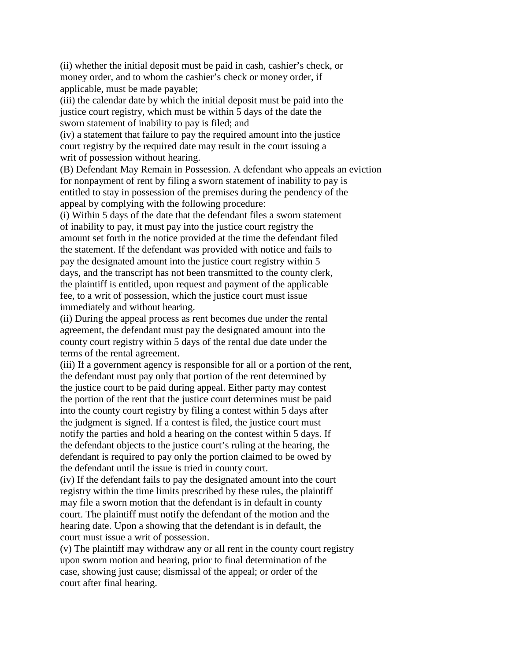(ii) whether the initial deposit must be paid in cash, cashier's check, or money order, and to whom the cashier's check or money order, if applicable, must be made payable;

(iii) the calendar date by which the initial deposit must be paid into the justice court registry, which must be within 5 days of the date the sworn statement of inability to pay is filed; and

(iv) a statement that failure to pay the required amount into the justice court registry by the required date may result in the court issuing a writ of possession without hearing.

(B) Defendant May Remain in Possession. A defendant who appeals an eviction for nonpayment of rent by filing a sworn statement of inability to pay is entitled to stay in possession of the premises during the pendency of the appeal by complying with the following procedure:

(i) Within 5 days of the date that the defendant files a sworn statement of inability to pay, it must pay into the justice court registry the amount set forth in the notice provided at the time the defendant filed the statement. If the defendant was provided with notice and fails to pay the designated amount into the justice court registry within 5 days, and the transcript has not been transmitted to the county clerk, the plaintiff is entitled, upon request and payment of the applicable fee, to a writ of possession, which the justice court must issue immediately and without hearing.

(ii) During the appeal process as rent becomes due under the rental agreement, the defendant must pay the designated amount into the county court registry within 5 days of the rental due date under the terms of the rental agreement.

(iii) If a government agency is responsible for all or a portion of the rent, the defendant must pay only that portion of the rent determined by the justice court to be paid during appeal. Either party may contest the portion of the rent that the justice court determines must be paid into the county court registry by filing a contest within 5 days after the judgment is signed. If a contest is filed, the justice court must notify the parties and hold a hearing on the contest within 5 days. If the defendant objects to the justice court's ruling at the hearing, the defendant is required to pay only the portion claimed to be owed by the defendant until the issue is tried in county court.

(iv) If the defendant fails to pay the designated amount into the court registry within the time limits prescribed by these rules, the plaintiff may file a sworn motion that the defendant is in default in county court. The plaintiff must notify the defendant of the motion and the hearing date. Upon a showing that the defendant is in default, the court must issue a writ of possession.

(v) The plaintiff may withdraw any or all rent in the county court registry upon sworn motion and hearing, prior to final determination of the case, showing just cause; dismissal of the appeal; or order of the court after final hearing.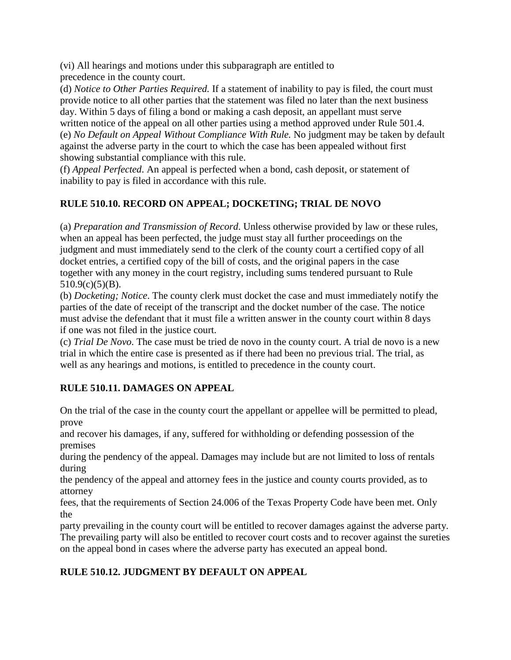(vi) All hearings and motions under this subparagraph are entitled to precedence in the county court.

(d) *Notice to Other Parties Required.* If a statement of inability to pay is filed, the court must provide notice to all other parties that the statement was filed no later than the next business day. Within 5 days of filing a bond or making a cash deposit, an appellant must serve written notice of the appeal on all other parties using a method approved under Rule 501.4. (e) *No Default on Appeal Without Compliance With Rule.* No judgment may be taken by default against the adverse party in the court to which the case has been appealed without first showing substantial compliance with this rule.

(f) *Appeal Perfected*. An appeal is perfected when a bond, cash deposit, or statement of inability to pay is filed in accordance with this rule.

# **RULE 510.10. RECORD ON APPEAL; DOCKETING; TRIAL DE NOVO**

(a) *Preparation and Transmission of Record*. Unless otherwise provided by law or these rules, when an appeal has been perfected, the judge must stay all further proceedings on the judgment and must immediately send to the clerk of the county court a certified copy of all docket entries, a certified copy of the bill of costs, and the original papers in the case together with any money in the court registry, including sums tendered pursuant to Rule 510.9(c)(5)(B).

(b) *Docketing; Notice*. The county clerk must docket the case and must immediately notify the parties of the date of receipt of the transcript and the docket number of the case. The notice must advise the defendant that it must file a written answer in the county court within 8 days if one was not filed in the justice court.

(c) *Trial De Novo*. The case must be tried de novo in the county court. A trial de novo is a new trial in which the entire case is presented as if there had been no previous trial. The trial, as well as any hearings and motions, is entitled to precedence in the county court.

# **RULE 510.11. DAMAGES ON APPEAL**

On the trial of the case in the county court the appellant or appellee will be permitted to plead, prove

and recover his damages, if any, suffered for withholding or defending possession of the premises

during the pendency of the appeal. Damages may include but are not limited to loss of rentals during

the pendency of the appeal and attorney fees in the justice and county courts provided, as to attorney

fees, that the requirements of Section 24.006 of the Texas Property Code have been met. Only the

party prevailing in the county court will be entitled to recover damages against the adverse party. The prevailing party will also be entitled to recover court costs and to recover against the sureties on the appeal bond in cases where the adverse party has executed an appeal bond.

# **RULE 510.12. JUDGMENT BY DEFAULT ON APPEAL**